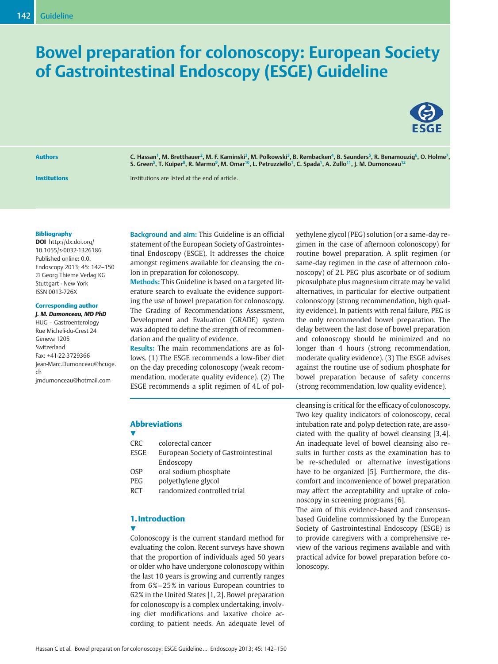# Bowel preparation for colonoscopy: European Society of Gastrointestinal Endoscopy (ESGE) Guideline



Authors C. Hassan<sup>1</sup>, M. Bretthauer<sup>2</sup>, M. F. Kaminski<sup>3</sup>, M. Polkowski<sup>3</sup>, B. Rembacken<sup>4</sup>, B. Saunders<sup>5</sup>, R. Benamouziq<sup>6</sup>, O. Holme<sup>7</sup>, S. Green<sup>5</sup>, T. Kuiper<sup>8</sup>, R. Marmo<sup>9</sup>, M. Omar<sup>10</sup>, L. Petruzziello<sup>1</sup>, C. Spada<sup>1</sup>, A. Zullo<sup>11</sup>, J. M. Dumonceau<sup>12</sup>

Institutions Institutions are listed at the end of article.

#### Bibliography

DOI http://dx.doi.org/ 10.1055/s-0032-1326186 Published online: 0.0. Endoscopy 2013; 45: 142–150 © Georg Thieme Verlag KG Stuttgart · New York ISSN 0013-726X

#### Corresponding author

J. M. Dumonceau, MD PhD HUG – Gastroenterology Rue Micheli-du-Crest 24 Geneva 1205 Switzerland Fax: +41-22-3729366 Jean-Marc.Dumonceau@hcuge. ch jmdumonceau@hotmail.com

Background and aim: This Guideline is an official statement of the European Society of Gastrointestinal Endoscopy (ESGE). It addresses the choice amongst regimens available for cleansing the colon in preparation for colonoscopy.

Methods: This Guideline is based on a targeted literature search to evaluate the evidence supporting the use of bowel preparation for colonoscopy. The Grading of Recommendations Assessment, Development and Evaluation (GRADE) system was adopted to define the strength of recommendation and the quality of evidence.

Results: The main recommendations are as follows. (1) The ESGE recommends a low-fiber diet on the day preceding colonoscopy (weak recommendation, moderate quality evidence). (2) The ESGE recommends a split regimen of 4L of polyethylene glycol (PEG) solution (or a same-day regimen in the case of afternoon colonoscopy) for routine bowel preparation. A split regimen (or same-day regimen in the case of afternoon colonoscopy) of 2L PEG plus ascorbate or of sodium picosulphate plus magnesium citrate may be valid alternatives, in particular for elective outpatient colonoscopy (strong recommendation, high quality evidence). In patients with renal failure, PEG is the only recommended bowel preparation. The delay between the last dose of bowel preparation and colonoscopy should be minimized and no longer than 4 hours (strong recommendation, moderate quality evidence). (3) The ESGE advises against the routine use of sodium phosphate for bowel preparation because of safety concerns (strong recommendation, low quality evidence).

#### Abbreviations

| <b>CRC</b> | colorectal cancer                    |
|------------|--------------------------------------|
| ESGE       | European Society of Gastrointestinal |
|            | Endoscopy                            |
| 0SP        | oral sodium phosphate                |
| PEG        | polyethylene glycol                  |
|            |                                      |

RCT randomized controlled trial

# 1.Introduction

 $\blacktriangledown$ 

Colonoscopy is the current standard method for evaluating the colon. Recent surveys have shown that the proportion of individuals aged 50 years or older who have undergone colonoscopy within the last 10 years is growing and currently ranges from  $6\% - 25\%$  in various European countries to 62 % in the United States [1, 2]. Bowel preparation for colonoscopy is a complex undertaking, involving diet modifications and laxative choice according to patient needs. An adequate level of

cleansing is critical for the efficacy of colonoscopy. Two key quality indicators of colonoscopy, cecal intubation rate and polyp detection rate, are associated with the quality of bowel cleansing [3, 4]. An inadequate level of bowel cleansing also results in further costs as the examination has to be re-scheduled or alternative investigations have to be organized [5]. Furthermore, the discomfort and inconvenience of bowel preparation may affect the acceptability and uptake of colonoscopy in screening programs [6].

The aim of this evidence-based and consensusbased Guideline commissioned by the European Society of Gastrointestinal Endoscopy (ESGE) is to provide caregivers with a comprehensive review of the various regimens available and with practical advice for bowel preparation before colonoscopy.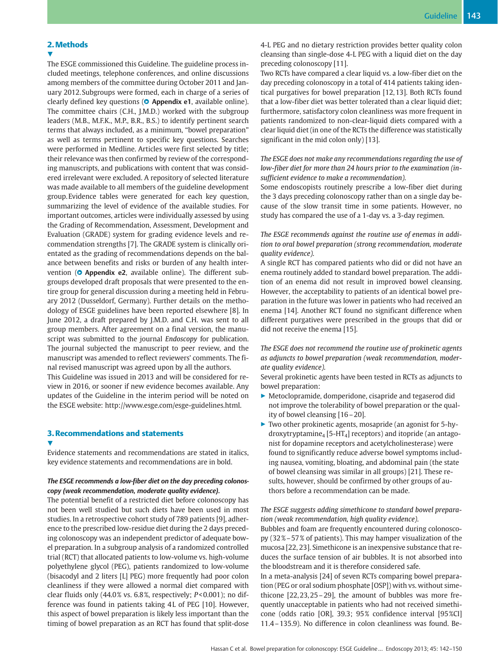# 2.Methods V,

The ESGE commissioned this Guideline. The guideline process included meetings, telephone conferences, and online discussions among members of the committee during October 2011 and January 2012. Subgroups were formed, each in charge of a series of clearly defined key questions ( $\bullet$  Appendix e1, available online). The committee chairs (C.H., J.M.D.) worked with the subgroup leaders (M.B., M.F.K., M.P., B.R., B.S.) to identify pertinent search terms that always included, as a minimum, "bowel preparation" as well as terms pertinent to specific key questions. Searches were performed in Medline. Articles were first selected by title; their relevance was then confirmed by review of the corresponding manuscripts, and publications with content that was considered irrelevant were excluded. A repository of selected literature was made available to all members of the guideline development group. Evidence tables were generated for each key question, summarizing the level of evidence of the available studies. For important outcomes, articles were individually assessed by using the Grading of Recommendation, Assessment, Development and Evaluation (GRADE) system for grading evidence levels and recommendation strengths [7]. The GRADE system is clinically orientated as the grading of recommendations depends on the balance between benefits and risks or burden of any health intervention ( $\bullet$  Appendix e2, available online). The different subgroups developed draft proposals that were presented to the entire group for general discussion during a meeting held in February 2012 (Dusseldorf, Germany). Further details on the methodology of ESGE guidelines have been reported elsewhere [8]. In June 2012, a draft prepared by J.M.D. and C.H. was sent to all group members. After agreement on a final version, the manuscript was submitted to the journal Endoscopy for publication. The journal subjected the manuscript to peer review, and the manuscript was amended to reflect reviewers' comments. The final revised manuscript was agreed upon by all the authors. This Guideline was issued in 2013 and will be considered for review in 2016, or sooner if new evidence becomes available. Any updates of the Guideline in the interim period will be noted on the ESGE website: http://www.esge.com/esge-guidelines.html.

# 3. Recommendations and statements  $\blacktriangledown$

Evidence statements and recommendations are stated in italics, key evidence statements and recommendations are in bold.

# The ESGE recommends a low-fiber diet on the day preceding colonoscopy (weak recommendation, moderate quality evidence).

The potential benefit of a restricted diet before colonoscopy has not been well studied but such diets have been used in most studies. In a retrospective cohort study of 789 patients [9], adherence to the prescribed low-residue diet during the 2 days preceding colonoscopy was an independent predictor of adequate bowel preparation. In a subgroup analysis of a randomized controlled trial (RCT) that allocated patients to low-volume vs. high-volume polyethylene glycol (PEG), patients randomized to low-volume (bisacodyl and 2 liters [L] PEG) more frequently had poor colon cleanliness if they were allowed a normal diet compared with clear fluids only  $(44.0\% \text{ vs. } 6.8\%$ , respectively;  $P < 0.001$ ); no difference was found in patients taking 4L of PEG [10]. However, this aspect of bowel preparation is likely less important than the timing of bowel preparation as an RCT has found that split-dose

4-L PEG and no dietary restriction provides better quality colon cleansing than single-dose 4-L PEG with a liquid diet on the day preceding colonoscopy [11].

Two RCTs have compared a clear liquid vs. a low-fiber diet on the day preceding colonoscopy in a total of 414 patients taking identical purgatives for bowel preparation [12, 13]. Both RCTs found that a low-fiber diet was better tolerated than a clear liquid diet; furthermore, satisfactory colon cleanliness was more frequent in patients randomized to non-clear-liquid diets compared with a clear liquid diet (in one of the RCTs the difference was statistically significant in the mid colon only) [13].

# The ESGE does not make any recommendations regarding the use of low-fiber diet for more than 24 hours prior to the examination (insufficient evidence to make a recommendation).

Some endoscopists routinely prescribe a low-fiber diet during the 3 days preceding colonoscopy rather than on a single day because of the slow transit time in some patients. However, no study has compared the use of a 1-day vs. a 3-day regimen.

# The ESGE recommends against the routine use of enemas in addition to oral bowel preparation (strong recommendation, moderate quality evidence).

A single RCT has compared patients who did or did not have an enema routinely added to standard bowel preparation. The addition of an enema did not result in improved bowel cleansing. However, the acceptability to patients of an identical bowel preparation in the future was lower in patients who had received an enema [14]. Another RCT found no significant difference when different purgatives were prescribed in the groups that did or did not receive the enema [15].

# The ESGE does not recommend the routine use of prokinetic agents as adjuncts to bowel preparation (weak recommendation, moderate quality evidence).

Several prokinetic agents have been tested in RCTs as adjuncts to bowel preparation:

- ▶ Metoclopramide, domperidone, cisapride and tegaserod did not improve the tolerability of bowel preparation or the quality of bowel cleansing [16–20].
- ▶ Two other prokinetic agents, mosapride (an agonist for 5-hydroxytryptamine<sub>4</sub> [5-HT<sub>4</sub>] receptors) and itopride (an antagonist for dopamine receptors and acetylcholinesterase) were found to significantly reduce adverse bowel symptoms including nausea, vomiting, bloating, and abdominal pain (the state of bowel cleansing was similar in all groups) [21]. These results, however, should be confirmed by other groups of authors before a recommendation can be made.

# The ESGE suggests adding simethicone to standard bowel preparation (weak recommendation, high quality evidence).

Bubbles and foam are frequently encountered during colonoscopy (32 %–57 % of patients). This may hamper visualization of the mucosa [22, 23]. Simethicone is an inexpensive substance that reduces the surface tension of air bubbles. It is not absorbed into the bloodstream and it is therefore considered safe.

In a meta-analysis [24] of seven RCTs comparing bowel preparation (PEG or oral sodium phosphate [OSP]) with vs. without simethicone [22, 23, 25–29], the amount of bubbles was more frequently unacceptable in patients who had not received simethicone (odds ratio [OR], 39.3; 95% confidence interval [95%CI] 11.4–135.9). No difference in colon cleanliness was found. Be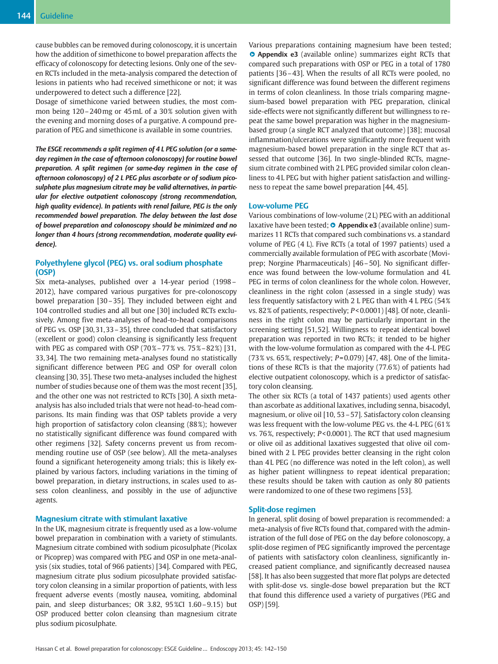cause bubbles can be removed during colonoscopy, it is uncertain how the addition of simethicone to bowel preparation affects the efficacy of colonoscopy for detecting lesions. Only one of the seven RCTs included in the meta-analysis compared the detection of lesions in patients who had received simethicone or not; it was underpowered to detect such a difference [22].

Dosage of simethicone varied between studies, the most common being 120 - 240 mg or 45 mL of a 30% solution given with the evening and morning doses of a purgative. A compound preparation of PEG and simethicone is available in some countries.

The ESGE recommends a split regimen of 4 L PEG solution (or a sameday regimen in the case of afternoon colonoscopy) for routine bowel preparation. A split regimen (or same-day regimen in the case of afternoon colonoscopy) of 2 L PEG plus ascorbate or of sodium picosulphate plus magnesium citrate may be valid alternatives, in particular for elective outpatient colonoscopy (strong recommendation, high quality evidence). In patients with renal failure, PEG is the only recommended bowel preparation. The delay between the last dose of bowel preparation and colonoscopy should be minimized and no longer than 4 hours (strong recommendation, moderate quality evidence).

# Polyethylene glycol (PEG) vs. oral sodium phosphate (OSP)

Six meta-analyses, published over a 14-year period (1998– 2012), have compared various purgatives for pre-colonoscopy bowel preparation [30–35]. They included between eight and 104 controlled studies and all but one [30] included RCTs exclusively. Among five meta-analyses of head-to-head comparisons of PEG vs. OSP [30, 31, 33–35], three concluded that satisfactory (excellent or good) colon cleansing is significantly less frequent with PEG as compared with OSP (70%-77% vs. 75%-82%) [31, 33, 34]. The two remaining meta-analyses found no statistically significant difference between PEG and OSP for overall colon cleansing [30, 35]. These two meta-analyses included the highest number of studies because one of them was the most recent [35], and the other one was not restricted to RCTs [30]. A sixth metaanalysis has also included trials that were not head-to-head comparisons. Its main finding was that OSP tablets provide a very high proportion of satisfactory colon cleansing (88 %); however no statistically significant difference was found compared with other regimens [32]. Safety concerns prevent us from recommending routine use of OSP (see below). All the meta-analyses found a significant heterogeneity among trials; this is likely explained by various factors, including variations in the timing of bowel preparation, in dietary instructions, in scales used to assess colon cleanliness, and possibly in the use of adjunctive agents.

#### Magnesium citrate with stimulant laxative

In the UK, magnesium citrate is frequently used as a low-volume bowel preparation in combination with a variety of stimulants. Magnesium citrate combined with sodium picosulphate (Picolax or Picoprep) was compared with PEG and OSP in one meta-analysis (six studies, total of 966 patients) [34]. Compared with PEG, magnesium citrate plus sodium picosulphate provided satisfactory colon cleansing in a similar proportion of patients, with less frequent adverse events (mostly nausea, vomiting, abdominal pain, and sleep disturbances; OR 3.82, 95 %CI 1.60–9.15) but OSP produced better colon cleansing than magnesium citrate plus sodium picosulphate.

Various preparations containing magnesium have been tested; **O** Appendix e3 (available online) summarizes eight RCTs that compared such preparations with OSP or PEG in a total of 1780 patients [36–43]. When the results of all RCTs were pooled, no significant difference was found between the different regimens in terms of colon cleanliness. In those trials comparing magnesium-based bowel preparation with PEG preparation, clinical side-effects were not significantly different but willingness to repeat the same bowel preparation was higher in the magnesiumbased group (a single RCT analyzed that outcome) [38]; mucosal inflammation/ulcerations were significantly more frequent with magnesium-based bowel preparation in the single RCT that assessed that outcome [36]. In two single-blinded RCTs, magnesium citrate combined with 2 L PEG provided similar colon cleanliness to 4L PEG but with higher patient satisfaction and willingness to repeat the same bowel preparation [44, 45].

#### Low-volume PEG

Various combinations of low-volume (2 L) PEG with an additional laxative have been tested;  $\bullet$  Appendix e3 (available online) summarizes 11 RCTs that compared such combinations vs. a standard volume of PEG (4 L). Five RCTs (a total of 1997 patients) used a commercially available formulation of PEG with ascorbate (Moviprep; Norgine Pharmaceuticals) [46–50]. No significant difference was found between the low-volume formulation and 4 L PEG in terms of colon cleanliness for the whole colon. However, cleanliness in the right colon (assessed in a single study) was less frequently satisfactory with 2 L PEG than with 4 L PEG (54 % vs. 82 % of patients, respectively; P< 0.0001) [48]. Of note, cleanliness in the right colon may be particularly important in the screening setting [51, 52]. Willingness to repeat identical bowel preparation was reported in two RCTs; it tended to be higher with the low-volume formulation as compared with the 4-L PEG (73 % vs. 65 %, respectively; P= 0.079) [47, 48]. One of the limitations of these RCTs is that the majority (77.6 %) of patients had elective outpatient colonoscopy, which is a predictor of satisfactory colon cleansing.

The other six RCTs (a total of 1437 patients) used agents other than ascorbate as additional laxatives, including senna, bisacodyl, magnesium, or olive oil [10, 53–57]. Satisfactory colon cleansing was less frequent with the low-volume PEG vs. the 4-L PEG (61 % vs. 76 %, respectively; P< 0.0001). The RCT that used magnesium or olive oil as additional laxatives suggested that olive oil combined with 2 L PEG provides better cleansing in the right colon than 4L PEG (no difference was noted in the left colon), as well as higher patient willingness to repeat identical preparation; these results should be taken with caution as only 80 patients were randomized to one of these two regimens [53].

#### Split-dose regimen

In general, split dosing of bowel preparation is recommended: a meta-analysis of five RCTs found that, compared with the administration of the full dose of PEG on the day before colonoscopy, a split-dose regimen of PEG significantly improved the percentage of patients with satisfactory colon cleanliness, significantly increased patient compliance, and significantly decreased nausea [58]. It has also been suggested that more flat polyps are detected with split-dose vs. single-dose bowel preparation but the RCT that found this difference used a variety of purgatives (PEG and OSP) [59].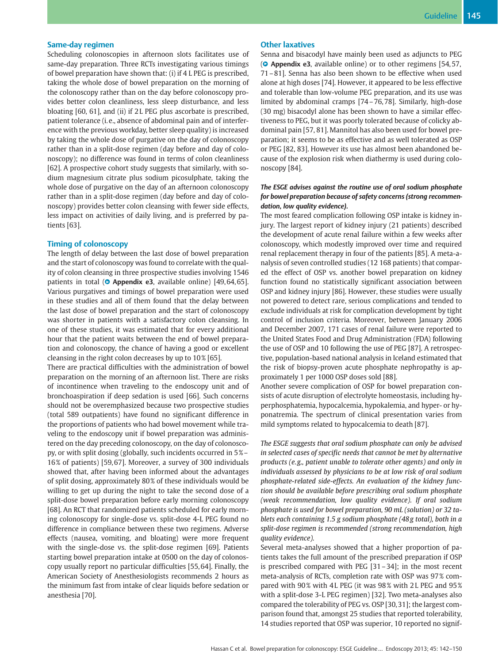#### Same-day regimen

Scheduling colonoscopies in afternoon slots facilitates use of same-day preparation. Three RCTs investigating various timings of bowel preparation have shown that: (i) if 4 L PEG is prescribed, taking the whole dose of bowel preparation on the morning of the colonoscopy rather than on the day before colonoscopy provides better colon cleanliness, less sleep disturbance, and less bloating [60, 61], and (ii) if 2L PEG plus ascorbate is prescribed, patient tolerance (i. e., absence of abdominal pain and of interference with the previous workday, better sleep quality) is increased by taking the whole dose of purgative on the day of colonoscopy rather than in a split-dose regimen (day before and day of colonoscopy); no difference was found in terms of colon cleanliness [62]. A prospective cohort study suggests that similarly, with sodium magnesium citrate plus sodium picosulphate, taking the whole dose of purgative on the day of an afternoon colonoscopy rather than in a split-dose regimen (day before and day of colonoscopy) provides better colon cleansing with fewer side effects, less impact on activities of daily living, and is preferred by patients [63].

### Timing of colonoscopy

The length of delay between the last dose of bowel preparation and the start of colonoscopy was found to correlate with the quality of colon cleansing in three prospective studies involving 1546 patients in total ( $\bullet$  Appendix e3, available online) [49, 64, 65]. Various purgatives and timings of bowel preparation were used in these studies and all of them found that the delay between the last dose of bowel preparation and the start of colonoscopy was shorter in patients with a satisfactory colon cleansing. In one of these studies, it was estimated that for every additional hour that the patient waits between the end of bowel preparation and colonoscopy, the chance of having a good or excellent cleansing in the right colon decreases by up to 10 % [65].

There are practical difficulties with the administration of bowel preparation on the morning of an afternoon list. There are risks of incontinence when traveling to the endoscopy unit and of bronchoaspiration if deep sedation is used [66]. Such concerns should not be overemphasized because two prospective studies (total 589 outpatients) have found no significant difference in the proportions of patients who had bowel movement while traveling to the endoscopy unit if bowel preparation was administered on the day preceding colonoscopy, on the day of colonoscopy, or with split dosing (globally, such incidents occurred in 5 %– 16 % of patients) [59, 67]. Moreover, a survey of 300 individuals showed that, after having been informed about the advantages of split dosing, approximately 80 % of these individuals would be willing to get up during the night to take the second dose of a split-dose bowel preparation before early morning colonoscopy [68]. An RCT that randomized patients scheduled for early morning colonoscopy for single-dose vs. split-dose 4-L PEG found no difference in compliance between these two regimens. Adverse effects (nausea, vomiting, and bloating) were more frequent with the single-dose vs. the split-dose regimen [69]. Patients starting bowel preparation intake at 0500 on the day of colonoscopy usually report no particular difficulties [55, 64]. Finally, the American Society of Anesthesiologists recommends 2 hours as the minimum fast from intake of clear liquids before sedation or anesthesia [70].

#### Other laxatives

Senna and bisacodyl have mainly been used as adjuncts to PEG ( $\bullet$  Appendix e3, available online) or to other regimens [54, 57, 71–81]. Senna has also been shown to be effective when used alone at high doses [74]. However, it appeared to be less effective and tolerable than low-volume PEG preparation, and its use was limited by abdominal cramps [74–76, 78]. Similarly, high-dose (30 mg) bisacodyl alone has been shown to have a similar effectiveness to PEG, but it was poorly tolerated because of colicky abdominal pain [57, 81]. Mannitol has also been used for bowel preparation; it seems to be as effective and as well tolerated as OSP or PEG [82, 83]. However its use has almost been abandoned because of the explosion risk when diathermy is used during colonoscopy [84].

# The ESGE advises against the routine use of oral sodium phosphate for bowel preparation because of safety concerns (strong recommendation, low quality evidence).

The most feared complication following OSP intake is kidney injury. The largest report of kidney injury (21 patients) described the development of acute renal failure within a few weeks after colonoscopy, which modestly improved over time and required renal replacement therapy in four of the patients [85]. A meta-analysis of seven controlled studies (12 168 patients) that compared the effect of OSP vs. another bowel preparation on kidney function found no statistically significant association between OSP and kidney injury [86]. However, these studies were usually not powered to detect rare, serious complications and tended to exclude individuals at risk for complication development by tight control of inclusion criteria. Moreover, between January 2006 and December 2007, 171 cases of renal failure were reported to the United States Food and Drug Administration (FDA) following the use of OSP and 10 following the use of PEG [87]. A retrospective, population-based national analysis in Iceland estimated that the risk of biopsy-proven acute phosphate nephropathy is approximately 1 per 1000 OSP doses sold [88].

Another severe complication of OSP for bowel preparation consists of acute disruption of electrolyte homeostasis, including hyperphosphatemia, hypocalcemia, hypokalemia, and hyper- or hyponatremia. The spectrum of clinical presentation varies from mild symptoms related to hypocalcemia to death [87].

The ESGE suggests that oral sodium phosphate can only be advised in selected cases of specific needs that cannot be met by alternative products (e. g., patient unable to tolerate other agents) and only in individuals assessed by physicians to be at low risk of oral sodium phosphate-related side-effects. An evaluation of the kidney function should be available before prescribing oral sodium phosphate (weak recommendation, low quality evidence). If oral sodium phosphate is used for bowel preparation, 90 mL (solution) or 32 tablets each containing 1.5 g sodium phosphate (48 g total), both in a split-dose regimen is recommended (strong recommendation, high quality evidence).

Several meta-analyses showed that a higher proportion of patients takes the full amount of the prescribed preparation if OSP is prescribed compared with PEG [31–34]; in the most recent meta-analysis of RCTs, completion rate with OSP was 97 % compared with 90% with 4L PEG (it was 98% with 2L PEG and 95% with a split-dose 3-L PEG regimen) [32]. Two meta-analyses also compared the tolerability of PEG vs. OSP [30, 31]; the largest comparison found that, amongst 25 studies that reported tolerability, 14 studies reported that OSP was superior, 10 reported no signif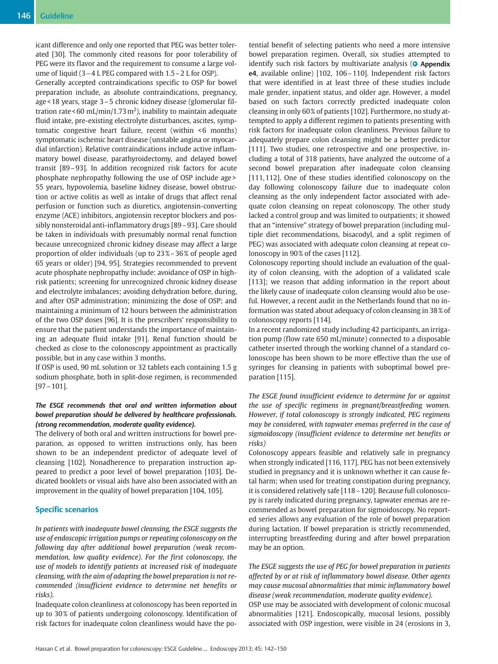icant difference and only one reported that PEG was better tolerated [30]. The commonly cited reasons for poor tolerability of PEG were its flavor and the requirement to consume a large volume of liquid (3–4 L PEG compared with 1.5–2 L for OSP).

Generally accepted contraindications specific to OSP for bowel preparation include, as absolute contraindications, pregnancy, age < 18 years, stage 3–5 chronic kidney disease (glomerular filtration rate < 60 mL/min/1.73 m<sup>2</sup>), inability to maintain adequate fluid intake, pre-existing electrolyte disturbances, ascites, symptomatic congestive heart failure, recent (within < 6 months) symptomatic ischemic heart disease (unstable angina or myocardial infarction). Relative contraindications include active inflammatory bowel disease, parathyroidectomy, and delayed bowel transit [89–93]. In addition recognized risk factors for acute phosphate nephropathy following the use of OSP include age > 55 years, hypovolemia, baseline kidney disease, bowel obstruction or active colitis as well as intake of drugs that affect renal perfusion or function such as diuretics, angiotensin-converting enzyme (ACE) inhibitors, angiotensin receptor blockers and possibly nonsteroidal anti-inflammatory drugs [89–93]. Care should be taken in individuals with presumably normal renal function because unrecognized chronic kidney disease may affect a large proportion of older individuals (up to 23 %–36 % of people aged 65 years or older) [94, 95]. Strategies recommended to prevent acute phosphate nephropathy include: avoidance of OSP in highrisk patients; screening for unrecognized chronic kidney disease and electrolyte imbalances; avoiding dehydration before, during, and after OSP administration; minimizing the dose of OSP; and maintaining a minimum of 12 hours between the administration of the two OSP doses [96]. It is the prescribers' responsibility to ensure that the patient understands the importance of maintaining an adequate fluid intake [91]. Renal function should be checked as close to the colonoscopy appointment as practically possible, but in any case within 3 months.

If OSP is used, 90 mL solution or 32 tablets each containing 1.5 g sodium phosphate, both in split-dose regimen, is recommended [97–101].

# The ESGE recommends that oral and written information about bowel preparation should be delivered by healthcare professionals. (strong recommendation, moderate quality evidence).

The delivery of both oral and written instructions for bowel preparation, as opposed to written instructions only, has been shown to be an independent predictor of adequate level of cleansing [102]. Nonadherence to preparation instruction appeared to predict a poor level of bowel preparation [103]. Dedicated booklets or visual aids have also been associated with an improvement in the quality of bowel preparation [104, 105].

# Specific scenarios

In patients with inadequate bowel cleansing, the ESGE suggests the use of endoscopic irrigation pumps or repeating colonoscopy on the following day after additional bowel preparation (weak recommendation, low quality evidence). For the first colonoscopy, the use of models to identify patients at increased risk of inadequate cleansing, with the aim of adapting the bowel preparation is not recommended (insufficient evidence to determine net benefits or risks).

Inadequate colon cleanliness at colonoscopy has been reported in up to 30 % of patients undergoing colonoscopy. Identification of risk factors for inadequate colon cleanliness would have the po-

tential benefit of selecting patients who need a more intensive bowel preparation regimen. Overall, six studies attempted to identify such risk factors by multivariate analysis ( $\bullet$  Appendix e4, available online) [102, 106–110]. Independent risk factors that were identified in at least three of these studies include male gender, inpatient status, and older age. However, a model based on such factors correctly predicted inadequate colon cleansing in only 60 % of patients [102]. Furthermore, no study attempted to apply a different regimen to patients presenting with risk factors for inadequate colon cleanliness. Previous failure to adequately prepare colon cleansing might be a better predictor [111]. Two studies, one retrospective and one prospective, including a total of 318 patients, have analyzed the outcome of a second bowel preparation after inadequate colon cleansing [111, 112]. One of these studies identified colonoscopy on the day following colonoscopy failure due to inadequate colon cleansing as the only independent factor associated with adequate colon cleansing on repeat colonoscopy. The other study lacked a control group and was limited to outpatients; it showed that an "intensive" strategy of bowel preparation (including multiple diet recommendations, bisacodyl, and a split regimen of PEG) was associated with adequate colon cleansing at repeat colonoscopy in 90% of the cases [112].

Colonoscopy reporting should include an evaluation of the quality of colon cleansing, with the adoption of a validated scale [113]; we reason that adding information in the report about the likely cause of inadequate colon cleansing would also be useful. However, a recent audit in the Netherlands found that no information was stated about adequacy of colon cleansing in 38 % of colonoscopy reports [114].

In a recent randomized study including 42 participants, an irrigation pump (flow rate 650 mL/minute) connected to a disposable catheter inserted through the working channel of a standard colonoscope has been shown to be more effective than the use of syringes for cleansing in patients with suboptimal bowel preparation [115].

The ESGE found insufficient evidence to determine for or against the use of specific regimens in pregnant/breastfeeding women. However, if total colonoscopy is strongly indicated, PEG regimens may be considered, with tapwater enemas preferred in the case of sigmoidoscopy (insufficient evidence to determine net benefits or risks)

Colonoscopy appears feasible and relatively safe in pregnancy when strongly indicated [116, 117]. PEG has not been extensively studied in pregnancy and it is unknown whether it can cause fetal harm; when used for treating constipation during pregnancy, it is considered relatively safe [118–120]. Because full colonoscopy is rarely indicated during pregnancy, tapwater enemas are recommended as bowel preparation for sigmoidoscopy. No reported series allows any evaluation of the role of bowel preparation during lactation. If bowel preparation is strictly recommended, interrupting breastfeeding during and after bowel preparation may be an option.

The ESGE suggests the use of PEG for bowel preparation in patients affected by or at risk of inflammatory bowel disease. Other agents may cause mucosal abnormalities that mimic inflammatory bowel disease (weak recommendation, moderate quality evidence).

OSP use may be associated with development of colonic mucosal abnormalities [121]. Endoscopically, mucosal lesions, possibly associated with OSP ingestion, were visible in 24 (erosions in 3,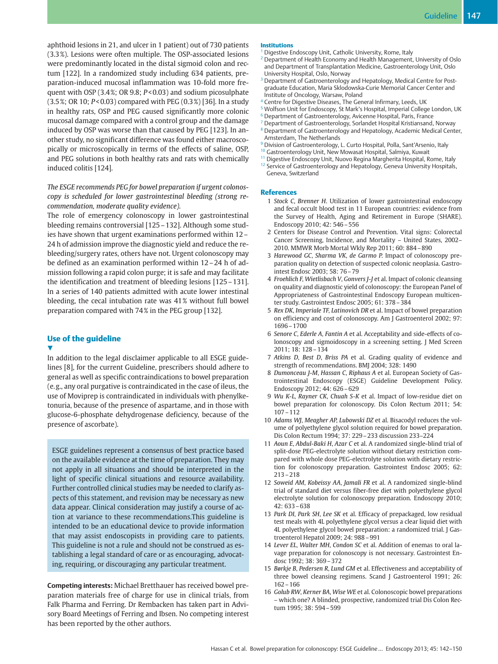aphthoid lesions in 21, and ulcer in 1 patient) out of 730 patients (3.3 %). Lesions were often multiple. The OSP-associated lesions were predominantly located in the distal sigmoid colon and rectum [122]. In a randomized study including 634 patients, preparation-induced mucosal inflammation was 10-fold more frequent with OSP (3.4 %; OR 9.8; P< 0.03) and sodium picosulphate (3.5 %; OR 10; P< 0.03) compared with PEG (0.3 %) [36]. In a study in healthy rats, OSP and PEG caused significantly more colonic mucosal damage compared with a control group and the damage induced by OSP was worse than that caused by PEG [123]. In another study, no significant difference was found either macroscopically or microscopically in terms of the effects of saline, OSP, and PEG solutions in both healthy rats and rats with chemically induced colitis [124].

# The ESGE recommends PEG for bowel preparation if urgent colonoscopy is scheduled for lower gastrointestinal bleeding (strong recommendation, moderate quality evidence).

The role of emergency colonoscopy in lower gastrointestinal bleeding remains controversial [125–132]. Although some studies have shown that urgent examinations performed within 12– 24 h of admission improve the diagnostic yield and reduce the rebleeding/surgery rates, others have not. Urgent colonoscopy may be defined as an examination performed within 12–24 h of admission following a rapid colon purge; it is safe and may facilitate the identification and treatment of bleeding lesions [125–131]. In a series of 140 patients admitted with acute lower intestinal bleeding, the cecal intubation rate was 41% without full bowel preparation compared with 74% in the PEG group [132].

# Use of the guideline

V,

In addition to the legal disclaimer applicable to all ESGE guidelines [8], for the current Guideline, prescribers should adhere to general as well as specific contraindications to bowel preparation (e. g., any oral purgative is contraindicated in the case of ileus, the use of Moviprep is contraindicated in individuals with phenylketonuria, because of the presence of aspartame, and in those with glucose-6-phosphate dehydrogenase deficiency, because of the presence of ascorbate).

ESGE guidelines represent a consensus of best practice based on the available evidence at the time of preparation. They may not apply in all situations and should be interpreted in the light of specific clinical situations and resource availability. Further controlled clinical studies may be needed to clarify aspects of this statement, and revision may be necessary as new data appear. Clinical consideration may justify a course of action at variance to these recommendations.This guideline is intended to be an educational device to provide information that may assist endoscopists in providing care to patients. This guideline is not a rule and should not be construed as establishing a legal standard of care or as encouraging, advocating, requiring, or discouraging any particular treatment.

Competing interests: Michael Bretthauer has received bowel preparation materials free of charge for use in clinical trials, from Falk Pharma and Ferring. Dr Rembacken has taken part in Advisory Board Meetings of Ferring and Ibsen. No competing interest has been reported by the other authors.

#### Institutions

- Digestive Endoscopy Unit, Catholic University, Rome, Italy
- <sup>2</sup> Department of Health Economy and Health Management, University of Oslo and Department of Transplantation Medicine, Gastroenterology Unit, Oslo University Hospital, Oslo, Norway
- <sup>3</sup> Department of Gastroenterology and Hepatology, Medical Centre for Postgraduate Education, Maria Sklodowska-Curie Memorial Cancer Center and Institute of Oncology, Warsaw, Poland
- <sup>4</sup> Centre for Digestive Diseases, The General Infirmary, Leeds, UK
- <sup>5</sup> Wolfson Unit for Endoscopy, St Mark's Hospital, Imperial College London, UK
- <sup>6</sup> Department of Gastroenterology, Avicenne Hospital, Paris, France
- <sup>7</sup> Department of Gastroenterology, Sorlandet Hospital Kristiansand, Norway Department of Gastroenterology and Hepatology, Academic Medical Center,
- Amsterdam, The Netherlands <sup>9</sup> Division of Gastroenterology, L. Curto Hospital, Polla, Sant'Arsenio, Italy
- <sup>10</sup> Gastroenterology Unit, New Mowasat Hospital, Salmiya, Kuwait
- <sup>11</sup> Digestive Endoscopy Unit, Nuovo Regina Margherita Hospital, Rome, Italy
- <sup>12</sup> Service of Gastroenterology and Hepatology, Geneva University Hospitals, Geneva, Switzerland

#### **References**

- 1 Stock C, Brenner H. Utilization of lower gastrointestinal endoscopy and fecal occult blood test in 11 European countries: evidence from the Survey of Health, Aging and Retirement in Europe (SHARE). Endoscopy 2010; 42: 546–556
- 2 Centers for Disease Control and Prevention. Vital signs: Colorectal Cancer Screening, Incidence, and Mortality – United States, 2002– 2010. MMWR Morb Mortal Wkly Rep 2011; 60: 884–890
- 3 Harewood GC, Sharma VK, de Garmo P. Impact of colonoscopy preparation quality on detection of suspected colonic neoplasia. Gastrointest Endosc 2003; 58: 76–79
- 4 Froehlich F, Wietlisbach V, Gonvers J-J et al. Impact of colonic cleansing on quality and diagnostic yield of colonoscopy: the European Panel of Appropriateness of Gastrointestinal Endoscopy European multicenter study. Gastrointest Endosc 2005; 61: 378–384
- 5 Rex DK, Imperiale TF, Latinovich DR et al. Impact of bowel preparation on efficiency and cost of colonoscopy. Am J Gastroenterol 2002; 97: 1696–1700
- 6 Senore C, Ederle A, Fantin A et al. Acceptability and side-effects of colonoscopy and sigmoidoscopy in a screening setting. J Med Screen 2011; 18: 128–134
- 7 Atkins D, Best D, Briss PA et al. Grading quality of evidence and strength of recommendations. BMJ 2004; 328: 1490
- 8 Dumonceau J-M, Hassan C, Riphaus A et al. European Society of Gastrointestinal Endoscopy (ESGE) Guideline Development Policy. Endoscopy 2012; 44: 626–629
- 9 Wu K-L, Rayner CK, Chuah S-K et al. Impact of low-residue diet on bowel preparation for colonoscopy. Dis Colon Rectum 2011; 54: 107–112
- 10 Adams WJ, Meagher AP, Lubowski DZ et al. Bisacodyl reduces the volume of polyethylene glycol solution required for bowel preparation. Dis Colon Rectum 1994; 37: 229–233 discussion 233–224
- 11 Aoun E, Abdul-Baki H, Azar C et al. A randomized single-blind trial of split-dose PEG-electrolyte solution without dietary restriction compared with whole dose PEG-electrolyte solution with dietary restriction for colonoscopy preparation. Gastrointest Endosc 2005; 62: 213–218
- 12 Soweid AM, Kobeissy AA, Jamali FR et al. A randomized single-blind trial of standard diet versus fiber-free diet with polyethylene glycol electrolyte solution for colonoscopy preparation. Endoscopy 2010; 42: 633–638
- 13 Park DI, Park SH, Lee SK et al. Efficacy of prepackaged, low residual test meals with 4L polyethylene glycol versus a clear liquid diet with 4L polyethylene glycol bowel preparation: a randomized trial. J Gastroenterol Hepatol 2009; 24: 988–991
- 14 Lever EL, Walter MH, Condon SC et al. Addition of enemas to oral lavage preparation for colonoscopy is not necessary. Gastrointest Endosc 1992; 38: 369–372
- 15 Børkje B, Pedersen R, Lund GM et al. Effectiveness and acceptability of three bowel cleansing regimens. Scand J Gastroenterol 1991; 26: 162–166
- 16 Golub RW, Kerner BA, Wise WE et al. Colonoscopic bowel preparations – which one? A blinded, prospective, randomized trial Dis Colon Rectum 1995; 38: 594–599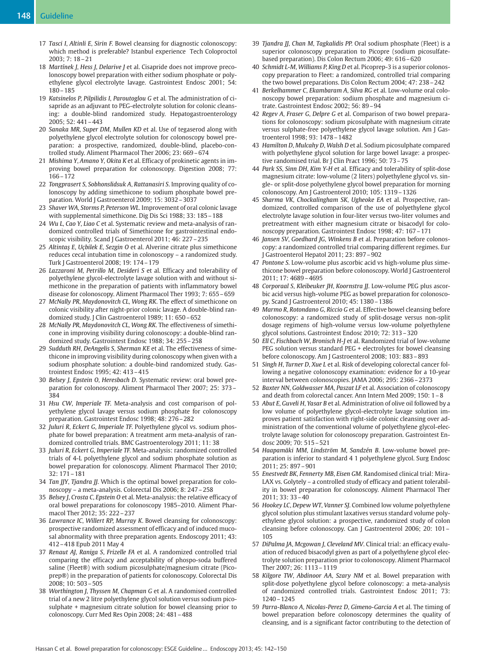- 17 Tasci I, Altinli E, Sirin F. Bowel cleansing for diagnostic colonoscopy: which method is preferable? Istanbul experience Tech Coloproctol 2003; 7: 18–21
- 18 Martínek J, Hess J, Delarive J et al. Cisapride does not improve precolonoscopy bowel preparation with either sodium phosphate or polyethylene glycol electrolyte lavage. Gastrointest Endosc 2001; 54: 180–185
- 19 Katsinelos P, Pilpilidis I, Paroutoglou G et al. The administration of cisapride as an adjuvant to PEG-electrolyte solution for colonic cleansing: a double-blind randomized study. Hepatogastroenterology 2005; 52: 441–443
- 20 Sanaka MR, Super DM, Mullen KD et al. Use of tegaserod along with polyethylene glycol electrolyte solution for colonoscopy bowel preparation: a prospective, randomized, double-blind, placebo-controlled study. Aliment Pharmacol Ther 2006; 23: 669–674
- 21 Mishima Y, Amano Y, Okita K et al. Efficacy of prokinetic agents in improving bowel preparation for colonoscopy. Digestion 2008; 77: 166–172
- 22 Tongprasert S, Sobhonslidsuk A, Rattanasiri S. Improving quality of colonoscopy by adding simethicone to sodium phosphate bowel preparation. World J Gastroenterol 2009; 15: 3032–3037
- 23 Shaver WA, Storms P, Peterson WL. Improvement of oral colonic lavage with supplemental simethicone. Dig Dis Sci 1988; 33: 185–188
- 24 Wu L, Cao Y, Liao C et al. Systematic review and meta-analysis of randomized controlled trials of Simethicone for gastrointestinal endoscopic visibility. Scand J Gastroenterol 2011; 46: 227–235
- 25 Altintaş E, Uçbilek E, Sezgin O et al. Alverine citrate plus simethicone reduces cecal intubation time in colonoscopy – a randomized study. Turk J Gastroenterol 2008; 19: 174–179
- 26 Lazzaroni M, Petrillo M, Desideri S et al. Efficacy and tolerability of polyethylene glycol-electrolyte lavage solution with and without simethicone in the preparation of patients with inflammatory bowel disease for colonoscopy. Aliment Pharmacol Ther 1993; 7: 655–659
- 27 McNally PR, Maydonovitch CL, Wong RK. The effect of simethicone on colonic visibility after night-prior colonic lavage. A double-blind randomized study. J Clin Gastroenterol 1989; 11: 650–652
- 28 McNally PR, Maydonovitch CL, Wong RK. The effectiveness of simethicone in improving visibility during colonoscopy: a double-blind randomized study. Gastrointest Endosc 1988; 34: 255–258
- 29 Sudduth RH, DeAngelis S, Sherman KE et al. The effectiveness of simethicone in improving visibility during colonoscopy when given with a sodium phosphate solution: a double-bind randomized study. Gastrointest Endosc 1995; 42: 413–415
- 30 Belsey J, Epstein O, Heresbach D. Systematic review: oral bowel preparation for colonoscopy. Aliment Pharmacol Ther 2007; 25: 373– 384
- 31 Hsu CW, Imperiale TF. Meta-analysis and cost comparison of polyethylene glycol lavage versus sodium phosphate for colonoscopy preparation. Gastrointest Endosc 1998; 48: 276–282
- 32 Juluri R, Eckert G, Imperiale TF. Polyethylene glycol vs. sodium phosphate for bowel preparation: A treatment arm meta-analysis of randomized controlled trials. BMC Gastroenterology 2011; 11: 38
- 33 Juluri R, Eckert G, Imperiale TF. Meta-analysis: randomized controlled trials of 4-L polyethylene glycol and sodium phosphate solution as bowel preparation for colonoscopy. Aliment Pharmacol Ther 2010; 32: 171–181
- 34 Tan JJY, Tjandra JJ. Which is the optimal bowel preparation for colonoscopy – a meta-analysis. Colorectal Dis 2006; 8: 247–258
- 35 Belsey J, Crosta C, Epstein O et al. Meta-analysis: the relative efficacy of oral bowel preparations for colonoscopy 1985–2010. Aliment Pharmacol Ther 2012; 35: 222–237
- 36 Lawrance IC, Willert RP, Murray K. Bowel cleansing for colonoscopy: prospective randomized assessment of efficacy and of induced mucosal abnormality with three preparation agents. Endoscopy 2011; 43: 412–418 Epub 2011 May 4
- 37 Renaut AJ, Raniga S, Frizelle FA et al. A randomized controlled trial comparing the efficacy and acceptability of phospo-soda buffered saline (Fleet®) with sodium picosulphate/magnesium citrate (Picoprep®) in the preparation of patients for colonoscopy. Colorectal Dis 2008; 10: 503–505
- 38 Worthington J, Thyssen M, Chapman G et al. A randomised controlled trial of a new 2 litre polyethylene glycol solution versus sodium picosulphate + magnesium citrate solution for bowel cleansing prior to colonoscopy. Curr Med Res Opin 2008; 24: 481–488
- 39 Tjandra JJ, Chan M, Tagkalidis PP. Oral sodium phosphate (Fleet) is a superior colonoscopy preparation to Picopre (sodium picosulfatebased preparation). Dis Colon Rectum 2006; 49: 616–620
- 40 Schmidt L-M, Williams P, King D et al. Picoprep-3 is a superior colonoscopy preparation to Fleet: a randomized, controlled trial comparing the two bowel preparations. Dis Colon Rectum 2004; 47: 238–242
- 41 Berkelhammer C, Ekambaram A, Silva RG et al. Low-volume oral colonoscopy bowel preparation: sodium phosphate and magnesium citrate. Gastrointest Endosc 2002; 56: 89–94
- 42 Regev A, Fraser G, Delpre G et al. Comparison of two bowel preparations for colonoscopy: sodium picosulphate with magnesium citrate versus sulphate-free polyethylene glycol lavage solution. Am J Gastroenterol 1998; 93: 1478–1482
- 43 Hamilton D, Mulcahy D, Walsh D et al. Sodium picosulphate compared with polyethylene glycol solution for large bowel lavage: a prospective randomised trial. Br J Clin Pract 1996; 50: 73–75
- 44 Park SS, Sinn DH, Kim Y-H et al. Efficacy and tolerability of split-dose magnesium citrate: low-volume (2 liters) polyethylene glycol vs. single- or split-dose polyethylene glycol bowel preparation for morning colonoscopy. Am J Gastroenterol 2010; 105: 1319–1326
- 45 Sharma VK, Chockalingham SK, Ugheoke EA et al. Prospective, randomized, controlled comparison of the use of polyethylene glycol electrolyte lavage solution in four-liter versus two-liter volumes and pretreatment with either magnesium citrate or bisacodyl for colonoscopy preparation. Gastrointest Endosc 1998; 47: 167–171
- 46 Jansen SV, Goedhard JG, Winkens B et al. Preparation before colonoscopy: a randomized controlled trial comparing different regimes. Eur J Gastroenterol Hepatol 2011; 23: 897–902
- 47 Pontone S. Low-volume plus ascorbic acid vs high-volume plus simethicone bowel preparation before colonoscopy. World J Gastroenterol 2011; 17: 4689–4695
- 48 Corporaal S, Kleibeuker JH, Koornstra JJ. Low-volume PEG plus ascorbic acid versus high-volume PEG as bowel preparation for colonoscopy. Scand J Gastroenterol 2010; 45: 1380–1386
- 49 Marmo R, Rotondano G, Riccio G et al. Effective bowel cleansing before colonoscopy: a randomized study of split-dosage versus non-split dosage regimens of high-volume versus low-volume polyethylene glycol solutions. Gastrointest Endosc 2010; 72: 313–320
- 50 Ell C, Fischbach W, Bronisch H-J et al. Randomized trial of low-volume PEG solution versus standard PEG + electrolytes for bowel cleansing before colonoscopy. Am J Gastroenterol 2008; 103: 883–893
- 51 Singh H, Turner D, Xue L et al. Risk of developing colorectal cancer following a negative colonoscopy examination: evidence for a 10-year interval between colonoscopies. JAMA 2006; 295: 2366–2373
- 52 Baxter NN, Goldwasser MA, Paszat LF et al. Association of colonoscopy and death from colorectal cancer. Ann Intern Med 2009; 150: 1–8
- 53 Abut E, Guveli H, Yasar B et al. Administration of olive oil followed by a low volume of polyethylene glycol-electrolyte lavage solution improves patient satisfaction with right-side colonic cleansing over administration of the conventional volume of polyethylene glycol-electrolyte lavage solution for colonoscopy preparation. Gastrointest Endosc 2009; 70: 515–521
- 54 Haapamäki MM, Lindström M, Sandzén B. Low-volume bowel preparation is inferior to standard 4 1 polyethylene glycol. Surg Endosc 2011; 25: 897–901
- 55 Enestvedt BK, Fennerty MB, Eisen GM. Randomised clinical trial: Mira-LAX vs. Golytely – a controlled study of efficacy and patient tolerability in bowel preparation for colonoscopy. Aliment Pharmacol Ther 2011; 33: 33–40
- 56 Hookey LC, Depew WT, Vanner SJ. Combined low volume polyethylene glycol solution plus stimulant laxatives versus standard volume polyethylene glycol solution: a prospective, randomized study of colon cleansing before colonoscopy. Can J Gastroenterol 2006; 20: 101– 105
- 57 DiPalma JA, Mcgowan J, Cleveland MV. Clinical trial: an efficacy evaluation of reduced bisacodyl given as part of a polyethylene glycol electrolyte solution preparation prior to colonoscopy. Aliment Pharmacol Ther 2007; 26: 1113–1119
- 58 Kilgore TW, Abdinoor AA, Szary NM et al. Bowel preparation with split-dose polyethylene glycol before colonoscopy: a meta-analysis of randomized controlled trials. Gastrointest Endosc 2011; 73: 1240–1245
- 59 Parra-Blanco A, Nicolas-Perez D, Gimeno-Garcia A et al. The timing of bowel preparation before colonoscopy determines the quality of cleansing, and is a significant factor contributing to the detection of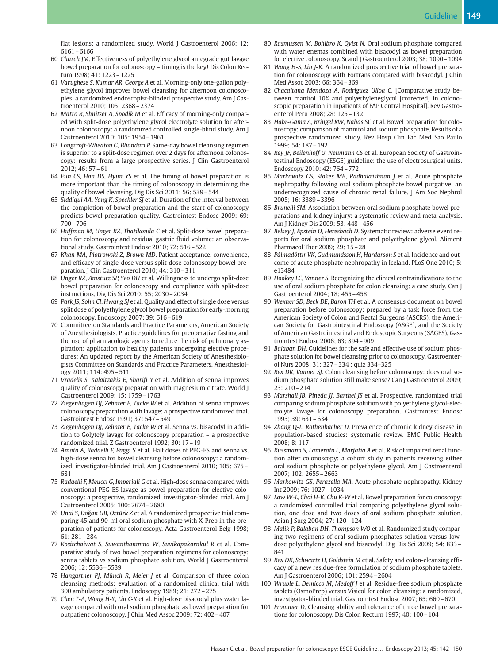flat lesions: a randomized study. World J Gastroenterol 2006; 12: 6161–6166

- 60 Church JM. Effectiveness of polyethylene glycol antegrade gut lavage bowel preparation for colonoscopy – timing is the key! Dis Colon Rectum 1998; 41: 1223–1225
- 61 Varughese S, Kumar AR, George A et al. Morning-only one-gallon polyethylene glycol improves bowel cleansing for afternoon colonoscopies: a randomized endoscopist-blinded prospective study. Am J Gastroenterol 2010; 105: 2368–2374
- 62 Matro R, Shnitser A, Spodik M et al. Efficacy of morning-only compared with split-dose polyethylene glycol electrolyte solution for afternoon colonoscopy: a randomized controlled single-blind study. Am J Gastroenterol 2010; 105: 1954–1961
- 63 Longcroft-Wheaton G, Bhandari P. Same-day bowel cleansing regimen is superior to a split-dose regimen over 2 days for afternoon colonoscopy: results from a large prospective series. J Clin Gastroenterol  $2012:46:57-61$
- 64 Eun CS, Han DS, Hyun YS et al. The timing of bowel preparation is more important than the timing of colonoscopy in determining the quality of bowel cleansing. Dig Dis Sci 2011; 56: 539–544
- 65 Siddiqui AA, Yang K, Spechler SJ et al. Duration of the interval between the completion of bowel preparation and the start of colonoscopy predicts bowel-preparation quality. Gastrointest Endosc 2009; 69: 700–706
- 66 Huffman M, Unger RZ, Thatikonda C et al. Split-dose bowel preparation for colonoscopy and residual gastric fluid volume: an observational study. Gastrointest Endosc 2010; 72: 516–522
- 67 Khan MA, Piotrowski Z, Brown MD. Patient acceptance, convenience, and efficacy of single-dose versus split-dose colonoscopy bowel preparation. J Clin Gastroenterol 2010; 44: 310–311
- 68 Unger RZ, Amstutz SP, Seo DH et al. Willingness to undergo split-dose bowel preparation for colonoscopy and compliance with split-dose instructions. Dig Dis Sci 2010; 55: 2030–2034
- 69 Park JS, Sohn CI, Hwang SJ et al. Quality and effect of single dose versus split dose of polyethylene glycol bowel preparation for early-morning colonoscopy. Endoscopy 2007; 39: 616–619
- 70 Committee on Standards and Practice Parameters, American Society of Anesthesiologists. Practice guidelines for preoperative fasting and the use of pharmacologic agents to reduce the risk of pulmonary aspiration: application to healthy patients undergoing elective procedures: An updated report by the American Society of Anesthesiologists Committee on Standards and Practice Parameters. Anesthesiology 2011; 114: 495–511
- 71 Vradelis S, Kalaitzakis E, Sharifi Y et al. Addition of senna improves quality of colonoscopy preparation with magnesium citrate. World J Gastroenterol 2009; 15: 1759–1763
- 72 Ziegenhagen DJ, Zehnter E, Tacke W et al. Addition of senna improves colonoscopy preparation with lavage: a prospective randomized trial. Gastrointest Endosc 1991; 37: 547–549
- 73 Ziegenhagen DJ, Zehnter E, Tacke W et al. Senna vs. bisacodyl in addition to Golytely lavage for colonoscopy preparation – a prospective randomized trial. Z Gastroenterol 1992; 30: 17–19
- 74 Amato A, Radaelli F, Paggi S et al. Half doses of PEG-ES and senna vs. high-dose senna for bowel cleansing before colonoscopy: a randomized, investigator-blinded trial. Am J Gastroenterol 2010; 105: 675– 681
- 75 Radaelli F, Meucci G, Imperiali G et al. High-dose senna compared with conventional PEG-ES lavage as bowel preparation for elective colonoscopy: a prospective, randomized, investigator-blinded trial. Am J Gastroenterol 2005; 100: 2674–2680
- 76 Unal S, Doğan UB, Oztürk Z et al. A randomized prospective trial comparing 45 and 90-ml oral sodium phosphate with X-Prep in the preparation of patients for colonoscopy. Acta Gastroenterol Belg 1998; 61: 281–284
- 77 Kositchaiwat S, Suwanthanmma W, Suvikapakornkul R et al. Comparative study of two bowel preparation regimens for colonoscopy: senna tablets vs sodium phosphate solution. World J Gastroenterol 2006; 12: 5536–5539
- 78 Hangartner PJ, Münch R, Meier J et al. Comparison of three colon cleansing methods: evaluation of a randomized clinical trial with 300 ambulatory patients. Endoscopy 1989; 21: 272–275
- 79 Chen T-A, Wong H-Y, Lin C-K et al. High-dose bisacodyl plus water lavage compared with oral sodium phosphate as bowel preparation for outpatient colonoscopy. J Chin Med Assoc 2009; 72: 402–407
- 80 Rasmussen M, Bohlbro K, Qvist N. Oral sodium phosphate compared with water enemas combined with bisacodyl as bowel preparation for elective colonoscopy. Scand J Gastroenterol 2003; 38: 1090–1094
- 81 Wang H-S, Lin J-K. A randomized prospective trial of bowel preparation for colonoscopy with Fortrans compared with bisacodyl. J Chin Med Assoc 2003; 66: 364–369
- 82 Chacaltana Mendoza A, Rodríguez Ulloa C. [Comparative study between manitol 10% and polyethyleneglycol [corrected] in colonoscopic preparation in inpatients of FAP Central Hospital]. Rev Gastroenterol Peru 2008; 28: 125–132
- 83 Habr-Gama A, Bringel RW, Nahas SC et al. Bowel preparation for colonoscopy: comparison of mannitol and sodium phosphate. Results of a prospective randomized study. Rev Hosp Clin Fac Med Sao Paulo 1999; 54: 187–192
- 84 Rey JF, Beilenhoff U, Neumann CS et al. European Society of Gastrointestinal Endoscopy (ESGE) guideline: the use of electrosurgical units. Endoscopy 2010; 42: 764–772
- 85 Markowitz GS, Stokes MB, Radhakrishnan J et al. Acute phosphate nephropathy following oral sodium phosphate bowel purgative: an underrecognized cause of chronic renal failure. J Am Soc Nephrol 2005; 16: 3389–3396
- 86 Brunelli SM. Association between oral sodium phosphate bowel preparations and kidney injury: a systematic review and meta-analysis. Am J Kidney Dis 2009; 53: 448–456
- 87 Belsey J, Epstein O, Heresbach D. Systematic review: adverse event reports for oral sodium phosphate and polyethylene glycol. Aliment Pharmacol Ther 2009; 29: 15–28
- 88 Pálmadóttir VK, Gudmundsson H, Hardarson S et al. Incidence and outcome of acute phosphate nephropathy in Iceland. PLoS One 2010; 5: e13484
- 89 Hookey LC, Vanner S. Recognizing the clinical contraindications to the use of oral sodium phosphate for colon cleansing: a case study. Can J Gastroenterol 2004; 18: 455–458
- 90 Wexner SD, Beck DE, Baron TH et al. A consensus document on bowel preparation before colonoscopy: prepared by a task force from the American Society of Colon and Rectal Surgeons (ASCRS), the American Society for Gastrointestinal Endoscopy (ASGE), and the Society of American Gastrointestinal and Endoscopic Surgeons (SAGES). Gastrointest Endosc 2006; 63: 894–909
- 91 Balaban DH. Guidelines for the safe and effective use of sodium phosphate solution for bowel cleansing prior to colonoscopy. Gastroenterol Nurs 2008; 31: 327–334 ; quiz 334–325
- 92 Rex DK, Vanner SJ. Colon cleansing before colonoscopy: does oral sodium phosphate solution still make sense? Can J Gastroenterol 2009; 23: 210–214
- 93 Marshall JB, Pineda JJ, Barthel JS et al. Prospective, randomized trial comparing sodium phosphate solution with polyethylene glycol-electrolyte lavage for colonoscopy preparation. Gastrointest Endosc 1993; 39: 631–634
- 94 Zhang Q-L, Rothenbacher D. Prevalence of chronic kidney disease in population-based studies: systematic review. BMC Public Health 2008; 8: 117
- 95 Russmann S, Lamerato L, Marfatia A et al. Risk of impaired renal function after colonoscopy: a cohort study in patients receiving either oral sodium phosphate or polyethylene glycol. Am J Gastroenterol 2007; 102: 2655–2663
- 96 Markowitz GS, Perazella MA. Acute phosphate nephropathy. Kidney Int 2009; 76: 1027–1034
- 97 Law W-L, Choi H-K, Chu K-W et al. Bowel preparation for colonoscopy: a randomized controlled trial comparing polyethylene glycol solution, one dose and two doses of oral sodium phosphate solution. Asian J Surg 2004; 27: 120–124
- 98 Malik P, Balaban DH, Thompson WO et al. Randomized study comparing two regimens of oral sodium phosphates solution versus lowdose polyethylene glycol and bisacodyl. Dig Dis Sci 2009; 54: 833– 841
- 99 Rex DK, Schwartz H, Goldstein M et al. Safety and colon-cleansing efficacy of a new residue-free formulation of sodium phosphate tablets. Am J Gastroenterol 2006; 101: 2594–2604
- 100 Wruble L, Demicco M, Medoff J et al. Residue-free sodium phosphate tablets (OsmoPrep) versus Visicol for colon cleansing: a randomized, investigator-blinded trial. Gastrointest Endosc 2007; 65: 660–670
- 101 Frommer D. Cleansing ability and tolerance of three bowel preparations for colonoscopy. Dis Colon Rectum 1997; 40: 100–104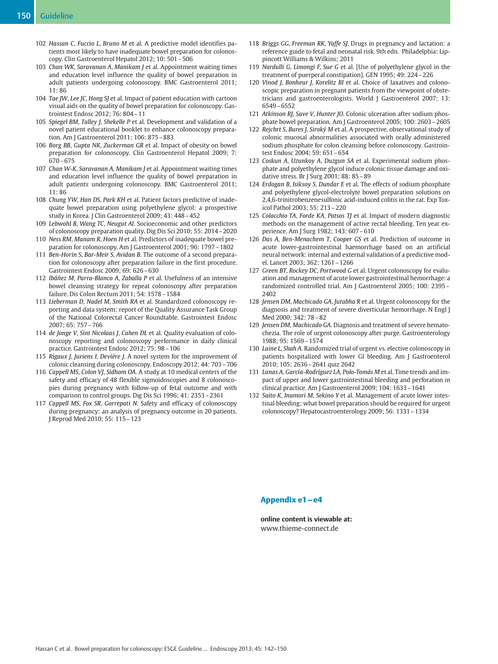- 102 Hassan C, Fuccio L, Bruno M et al. A predictive model identifies patients most likely to have inadequate bowel preparation for colonoscopy. Clin Gastroenterol Hepatol 2012; 10: 501–506
- 103 Chan WK, Saravanan A, Manikam J et al. Appointment waiting times and education level influence the quality of bowel preparation in adult patients undergoing colonoscopy. BMC Gastroenterol 2011; 11: 86
- 104 Tae JW, Lee JC, Hong SJ et al. Impact of patient education with cartoon visual aids on the quality of bowel preparation for colonoscopy. Gastrointest Endosc 2012; 76: 804–11
- 105 Spiegel BM, Talley J, Shekelle P et al. Development and validation of a novel patient educational booklet to enhance colonoscopy preparation. Am J Gastroenterol 2011; 106: 875–883
- 106 Borg BB, Gupta NK, Zuckerman GR et al. Impact of obesity on bowel preparation for colonoscopy. Clin Gastroenterol Hepatol 2009; 7: 670–675
- 107 Chan W-K, Saravanan A, Manikam J et al. Appointment waiting times and education level influence the quality of bowel preparation in adult patients undergoing colonoscopy. BMC Gastroenterol 2011; 11: 86
- 108 Chung YW, Han DS, Park KH et al. Patient factors predictive of inadequate bowel preparation using polyethylene glycol: a prospective study in Korea. J Clin Gastroenterol 2009; 43: 448–452
- 109 Lebwohl B, Wang TC, Neugut AI. Socioeconomic and other predictors of colonoscopy preparation quality. Dig Dis Sci 2010; 55: 2014–2020
- 110 Ness RM, Manam R, Hoen H et al. Predictors of inadequate bowel preparation for colonoscopy. Am J Gastroenterol 2001; 96: 1797–1802
- 111 Ben-Horin S, Bar-Meir S, Avidan B. The outcome of a second preparation for colonoscopy after preparation failure in the first procedure. Gastrointest Endosc 2009; 69: 626–630
- 112 Ibáñez M, Parra-Blanco A, Zaballa P et al. Usefulness of an intensive bowel cleansing strategy for repeat colonoscopy after preparation failure. Dis Colon Rectum 2011; 54: 1578–1584
- 113 Lieberman D, Nadel M, Smith RA et al. Standardized colonoscopy reporting and data system: report of the Quality Assurance Task Group of the National Colorectal Cancer Roundtable. Gastrointest Endosc 2007; 65: 757–766
- 114 de Jonge V, Sint Nicolaas J, Cahen DL et al. Quality evaluation of colonoscopy reporting and colonoscopy performance in daily clinical practice. Gastrointest Endosc 2012; 75: 98–106
- 115 Rigaux J, Juriens I, Devière J. A novel system for the improvement of colonic cleansing during colonoscopy. Endoscopy 2012; 44: 703–706
- 116 Cappell MS, Colon VJ, Sidhom OA. A study at 10 medical centers of the safety and efficacy of 48 flexible sigmoidoscopies and 8 colonoscopies during pregnancy with follow-up of fetal outcome and with comparison to control groups. Dig Dis Sci 1996; 41: 2353–2361
- 117 Cappell MS, Fox SR, Gorrepati N. Safety and efficacy of colonoscopy during pregnancy: an analysis of pregnancy outcome in 20 patients. J Reprod Med 2010; 55: 115–123
- 118 Briggs GG, Freeman RK, Yaffe SJ. Drugs in pregnancy and lactation: a reference guide to fetal and neonatal risk. 9th edn. Philadelphia: Lippincott Williams & Wilkins; 2011
- 119 Nardulli G, Limongi F, Sue G et al. [Use of polyethylene glycol in the treatment of puerperal constipation]. GEN 1995; 49: 224–226
- 120 Vinod J, Bonheur J, Korelitz BJ et al. Choice of laxatives and colonoscopic preparation in pregnant patients from the viewpoint of obstetricians and gastroenterologists. World J Gastroenterol 2007; 13: 6549–6552
- 121 Atkinson RJ, Save V, Hunter JO. Colonic ulceration after sodium phosphate bowel preparation. Am J Gastroenterol 2005; 100: 2603–2605
- 122 Rejchrt S, Bures J, Siroký M et al. A prospective, observational study of colonic mucosal abnormalities associated with orally administered sodium phosphate for colon cleansing before colonoscopy. Gastrointest Endosc 2004; 59: 651–654
- 123 Coskun A, Uzunkoy A, Duzgun SA et al. Experimental sodium phosphate and polyethylene glycol induce colonic tissue damage and oxidative stress. Br J Surg 2001; 88: 85–89
- 124 Erdogan B, Isiksoy S, Dundar E et al. The effects of sodium phosphate and polyethylene glycol-electrolyte bowel preparation solutions on 2,4,6-trinitrobenzenesulfonic acid-induced colitis in the rat. Exp Toxicol Pathol 2003; 55: 213–220
- 125 Colacchio TA, Forde KA, Patsos TJ et al. Impact of modern diagnostic methods on the management of active rectal bleeding. Ten year experience. Am J Surg 1982; 143: 607–610
- 126 Das A, Ben-Menachem T, Cooper GS et al. Prediction of outcome in acute lower-gastrointestinal haemorrhage based on an artificial neural network: internal and external validation of a predictive model. Lancet 2003; 362: 1261–1266
- 127 Green BT, Rockey DC, Portwood G et al. Urgent colonoscopy for evaluation and management of acute lower gastrointestinal hemorrhage: a randomized controlled trial. Am J Gastroenterol 2005; 100: 2395– 2402
- 128 Jensen DM, Machicado GA, Jutabha R et al. Urgent colonoscopy for the diagnosis and treatment of severe diverticular hemorrhage. N Engl J Med 2000; 342: 78–82
- 129 Jensen DM, Machicado GA. Diagnosis and treatment of severe hematochezia. The role of urgent colonoscopy after purge. Gastroenterology 1988; 95: 1569–1574
- 130 Laine L, Shah A. Randomized trial of urgent vs. elective colonoscopy in patients hospitalized with lower GI bleeding. Am J Gastroenterol 2010; 105: 2636–2641 quiz 2642
- 131 Lanas A, García-Rodríguez LA, Polo-Tomás M et al. Time trends and impact of upper and lower gastrointestinal bleeding and perforation in clinical practice. Am J Gastroenterol 2009; 104: 1633–1641
- 132 Saito K, Inamori M, Sekino Y et al. Management of acute lower intestinal bleeding: what bowel preparation should be required for urgent colonoscopy? Hepatocastroenterology 2009; 56: 1331–1334

### Appendix e1– e4

online content is viewable at: www.thieme-connect.de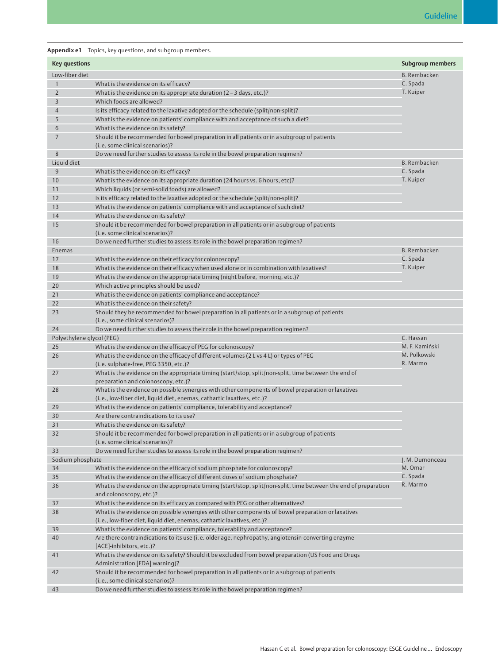|                           | Appendix e1 Topics, key questions, and subgroup members.                                                                              |                         |
|---------------------------|---------------------------------------------------------------------------------------------------------------------------------------|-------------------------|
| <b>Key questions</b>      |                                                                                                                                       | <b>Subgroup members</b> |
| Low-fiber diet            |                                                                                                                                       | <b>B.</b> Rembacken     |
| $\mathbf{1}$              | What is the evidence on its efficacy?                                                                                                 | C. Spada                |
| $\overline{2}$            | What is the evidence on its appropriate duration $(2 - 3$ days, etc.)?                                                                | T. Kuiper               |
| 3                         | Which foods are allowed?                                                                                                              |                         |
| $\overline{4}$            | Is its efficacy related to the laxative adopted or the schedule (split/non-split)?                                                    |                         |
| 5                         | What is the evidence on patients' compliance with and acceptance of such a diet?                                                      |                         |
| 6                         | What is the evidence on its safety?                                                                                                   |                         |
| $\overline{7}$            | Should it be recommended for bowel preparation in all patients or in a subgroup of patients                                           |                         |
|                           | (i.e. some clinical scenarios)?                                                                                                       |                         |
| 8                         | Do we need further studies to assess its role in the bowel preparation regimen?                                                       |                         |
| Liquid diet               |                                                                                                                                       | <b>B.</b> Rembacken     |
| 9                         | What is the evidence on its efficacy?                                                                                                 | C. Spada                |
| 10                        | What is the evidence on its appropriate duration (24 hours vs. 6 hours, etc)?                                                         | T. Kuiper               |
| 11                        | Which liquids (or semi-solid foods) are allowed?                                                                                      |                         |
| 12                        | Is its efficacy related to the laxative adopted or the schedule (split/non-split)?                                                    |                         |
| 13                        | What is the evidence on patients' compliance with and acceptance of such diet?                                                        |                         |
| 14                        | What is the evidence on its safety?                                                                                                   |                         |
| 15                        | Should it be recommended for bowel preparation in all patients or in a subgroup of patients                                           |                         |
|                           | (i.e. some clinical scenarios)?                                                                                                       |                         |
| 16                        | Do we need further studies to assess its role in the bowel preparation regimen?                                                       |                         |
| Enemas                    |                                                                                                                                       | <b>B.</b> Rembacken     |
| 17                        | What is the evidence on their efficacy for colonoscopy?                                                                               | C. Spada                |
| 18                        | What is the evidence on their efficacy when used alone or in combination with laxatives?                                              | T. Kuiper               |
| 19                        | What is the evidence on the appropriate timing (night before, morning, etc.)?                                                         |                         |
| 20                        | Which active principles should be used?                                                                                               |                         |
| 21                        | What is the evidence on patients' compliance and acceptance?                                                                          |                         |
| 22                        | What is the evidence on their safety?                                                                                                 |                         |
| 23                        | Should they be recommended for bowel preparation in all patients or in a subgroup of patients                                         |                         |
|                           | (i.e., some clinical scenarios)?                                                                                                      |                         |
| 24                        | Do we need further studies to assess their role in the bowel preparation regimen?                                                     |                         |
| Polyethylene glycol (PEG) |                                                                                                                                       | C. Hassan               |
| 25                        | What is the evidence on the efficacy of PEG for colonoscopy?                                                                          | M. F. Kamiński          |
| 26                        | What is the evidence on the efficacy of different volumes (2 L vs 4 L) or types of PEG                                                | M. Polkowski            |
|                           | (i.e. sulphate-free, PEG 3350, etc.)?                                                                                                 | R. Marmo                |
| 27                        | What is the evidence on the appropriate timing (start/stop, split/non-split, time between the end of                                  |                         |
|                           | preparation and colonoscopy, etc.)?                                                                                                   |                         |
| 28                        | What is the evidence on possible synergies with other components of bowel preparation or laxatives                                    |                         |
|                           | (i.e., low-fiber diet, liquid diet, enemas, cathartic laxatives, etc.)?                                                               |                         |
| 29                        | What is the evidence on patients' compliance, tolerability and acceptance?                                                            |                         |
| 30                        | Are there contraindications to its use?                                                                                               |                         |
| 31                        | What is the evidence on its safety?                                                                                                   |                         |
| 32                        | Should it be recommended for bowel preparation in all patients or in a subgroup of patients                                           |                         |
|                           | (i.e. some clinical scenarios)?                                                                                                       |                         |
| 33                        | Do we need further studies to assess its role in the bowel preparation regimen?                                                       |                         |
| Sodium phosphate          |                                                                                                                                       | J. M. Dumonceau         |
| 34                        | What is the evidence on the efficacy of sodium phosphate for colonoscopy?                                                             | M. Omar                 |
| 35                        | What is the evidence on the efficacy of different doses of sodium phosphate?                                                          | C. Spada                |
| 36                        | What is the evidence on the appropriate timing (start/stop, split/non-split, time between the end of preparation                      | R. Marmo                |
|                           | and colonoscopy, etc.)?                                                                                                               |                         |
| 37                        | What is the evidence on its efficacy as compared with PEG or other alternatives?                                                      |                         |
| 38                        | What is the evidence on possible synergies with other components of bowel preparation or laxatives                                    |                         |
|                           | (i.e., low-fiber diet, liquid diet, enemas, cathartic laxatives, etc.)?                                                               |                         |
| 39                        | What is the evidence on patients' compliance, tolerability and acceptance?                                                            |                         |
| 40                        | Are there contraindications to its use (i.e. older age, nephropathy, angiotensin-converting enzyme<br>[ACE]-inhibitors, etc.)?        |                         |
| 41                        | What is the evidence on its safety? Should it be excluded from bowel preparation (US Food and Drugs<br>Administration [FDA] warning)? |                         |
| 42                        | Should it be recommended for bowel preparation in all patients or in a subgroup of patients<br>(i.e., some clinical scenarios)?       |                         |
| 43                        | Do we need further studies to assess its role in the bowel preparation regimen?                                                       |                         |
|                           |                                                                                                                                       |                         |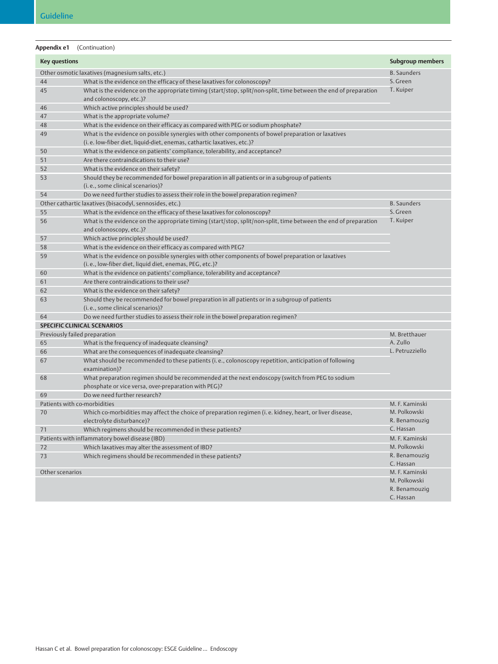# Appendix e1 (Continuation)

| <b>Key questions</b>          |                                                                                                                  | <b>Subgroup members</b> |
|-------------------------------|------------------------------------------------------------------------------------------------------------------|-------------------------|
|                               | Other osmotic laxatives (magnesium salts, etc.)                                                                  | <b>B.</b> Saunders      |
| 44                            | What is the evidence on the efficacy of these laxatives for colonoscopy?                                         | S. Green                |
| 45                            | What is the evidence on the appropriate timing (start/stop, split/non-split, time between the end of preparation | T. Kuiper               |
|                               | and colonoscopy, etc.)?                                                                                          |                         |
| 46                            | Which active principles should be used?                                                                          |                         |
| 47                            | What is the appropriate volume?                                                                                  |                         |
| 48                            | What is the evidence on their efficacy as compared with PEG or sodium phosphate?                                 |                         |
| 49                            | What is the evidence on possible synergies with other components of bowel preparation or laxatives               |                         |
|                               | (i.e. low-fiber diet, liquid-diet, enemas, cathartic laxatives, etc.)?                                           |                         |
| 50                            | What is the evidence on patients' compliance, tolerability, and acceptance?                                      |                         |
| 51                            | Are there contraindications to their use?                                                                        |                         |
| 52                            | What is the evidence on their safety?                                                                            |                         |
| 53                            | Should they be recommended for bowel preparation in all patients or in a subgroup of patients                    |                         |
|                               | (i.e., some clinical scenarios)?                                                                                 |                         |
| 54                            | Do we need further studies to assess their role in the bowel preparation regimen?                                |                         |
|                               | Other cathartic laxatives (bisacodyl, sennosides, etc.)                                                          | <b>B.</b> Saunders      |
| 55                            | What is the evidence on the efficacy of these laxatives for colonoscopy?                                         | S. Green                |
| 56                            | What is the evidence on the appropriate timing (start/stop, split/non-split, time between the end of preparation | T. Kuiper               |
|                               | and colonoscopy, etc.)?                                                                                          |                         |
| 57                            | Which active principles should be used?                                                                          |                         |
| 58                            | What is the evidence on their efficacy as compared with PEG?                                                     |                         |
| 59                            | What is the evidence on possible synergies with other components of bowel preparation or laxatives               |                         |
|                               | (i.e., low-fiber diet, liquid diet, enemas, PEG, etc.)?                                                          |                         |
| 60                            | What is the evidence on patients' compliance, tolerability and acceptance?                                       |                         |
| 61                            | Are there contraindications to their use?                                                                        |                         |
| 62                            | What is the evidence on their safety?                                                                            |                         |
| 63                            | Should they be recommended for bowel preparation in all patients or in a subgroup of patients                    |                         |
|                               | (i.e., some clinical scenarios)?                                                                                 |                         |
| 64                            | Do we need further studies to assess their role in the bowel preparation regimen?                                |                         |
|                               | <b>SPECIFIC CLINICAL SCENARIOS</b>                                                                               |                         |
| Previously failed preparation |                                                                                                                  | M. Bretthauer           |
| 65                            | What is the frequency of inadequate cleansing?                                                                   | A. Zullo                |
| 66                            | What are the consequences of inadequate cleansing?                                                               | L. Petruzziello         |
| 67                            | What should be recommended to these patients (i.e., colonoscopy repetition, anticipation of following            |                         |
|                               | examination)?                                                                                                    |                         |
| 68                            | What preparation regimen should be recommended at the next endoscopy (switch from PEG to sodium                  |                         |
|                               | phosphate or vice versa, over-preparation with PEG)?                                                             |                         |
| 69                            | Do we need further research?                                                                                     |                         |
| Patients with co-morbidities  |                                                                                                                  | M. F. Kaminski          |
| 70                            | Which co-morbidities may affect the choice of preparation regimen (i.e. kidney, heart, or liver disease,         | M. Polkowski            |
|                               | electrolyte disturbance)?                                                                                        | R. Benamouziq           |
| 71                            | Which regimens should be recommended in these patients?                                                          | C. Hassan               |
|                               | Patients with inflammatory bowel disease (IBD)                                                                   | M. F. Kaminski          |
| 72                            | Which laxatives may alter the assessment of IBD?                                                                 | M. Polkowski            |
| 73                            | Which regimens should be recommended in these patients?                                                          | R. Benamouziq           |
|                               |                                                                                                                  | C. Hassan               |
| Other scenarios               |                                                                                                                  | M. F. Kaminski          |
|                               |                                                                                                                  | M. Polkowski            |
|                               |                                                                                                                  | R. Benamouziq           |
|                               |                                                                                                                  | C. Hassan               |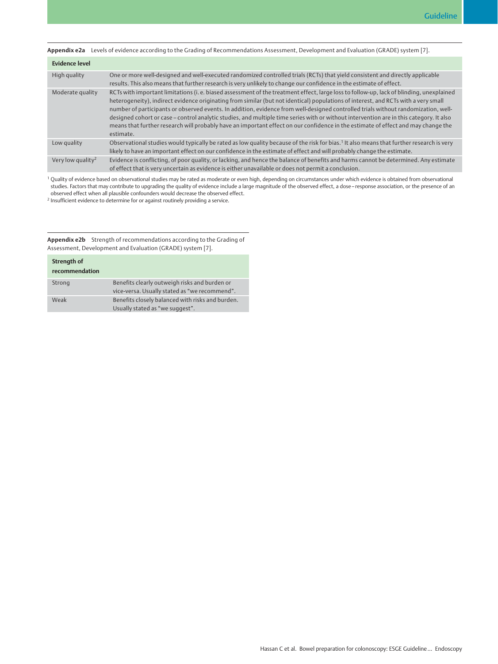|                               | Appendix e2a Levels of evidence according to the Grading of Recommendations Assessment, Development and Evaluation (GRADE) system [7].                                                                                                                                                                                                                                                                                                                                                                                                                                                                                                                                                                           |
|-------------------------------|------------------------------------------------------------------------------------------------------------------------------------------------------------------------------------------------------------------------------------------------------------------------------------------------------------------------------------------------------------------------------------------------------------------------------------------------------------------------------------------------------------------------------------------------------------------------------------------------------------------------------------------------------------------------------------------------------------------|
| <b>Evidence level</b>         |                                                                                                                                                                                                                                                                                                                                                                                                                                                                                                                                                                                                                                                                                                                  |
| High quality                  | One or more well-designed and well-executed randomized controlled trials (RCTs) that yield consistent and directly applicable<br>results. This also means that further research is very unlikely to change our confidence in the estimate of effect.                                                                                                                                                                                                                                                                                                                                                                                                                                                             |
| Moderate quality              | RCTs with important limitations (i.e. biased assessment of the treatment effect, large loss to follow-up, lack of blinding, unexplained<br>heterogeneity), indirect evidence originating from similar (but not identical) populations of interest, and RCTs with a very small<br>number of participants or observed events. In addition, evidence from well-designed controlled trials without randomization, well-<br>designed cohort or case - control analytic studies, and multiple time series with or without intervention are in this category. It also<br>means that further research will probably have an important effect on our confidence in the estimate of effect and may change the<br>estimate. |
| Low quality                   | Observational studies would typically be rated as low quality because of the risk for bias. <sup>1</sup> It also means that further research is very<br>likely to have an important effect on our confidence in the estimate of effect and will probably change the estimate.                                                                                                                                                                                                                                                                                                                                                                                                                                    |
| Very low quality <sup>2</sup> | Evidence is conflicting, of poor quality, or lacking, and hence the balance of benefits and harms cannot be determined. Any estimate<br>of effect that is very uncertain as evidence is either unavailable or does not permit a conclusion.                                                                                                                                                                                                                                                                                                                                                                                                                                                                      |

<sup>1</sup> Quality of evidence based on observational studies may be rated as moderate or even high, depending on circumstances under which evidence is obtained from observational studies. Factors that may contribute to upgrading the quality of evidence include a large magnitude of the observed effect, a dose–response association, or the presence of an observed effect when all plausible confounders would decrease the observed effect.

<sup>2</sup> Insufficient evidence to determine for or against routinely providing a service.

Appendix e2b Strength of recommendations according to the Grading of Assessment, Development and Evaluation (GRADE) system [7].

| Strength of<br>recommendation |                                                                                                |
|-------------------------------|------------------------------------------------------------------------------------------------|
| Strong                        | Benefits clearly outweigh risks and burden or<br>vice-versa. Usually stated as "we recommend". |
| Weak                          | Benefits closely balanced with risks and burden.<br>Usually stated as "we suggest".            |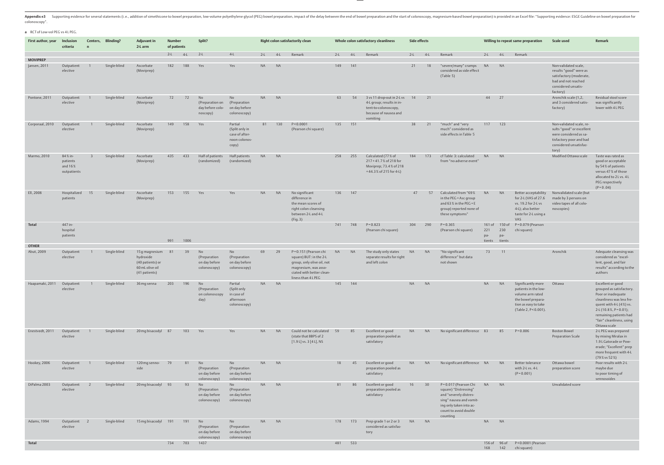Appendix e3 Supporting evidence for several statements (i.e., addition of simethicone to bowel preparation, low-volume polyethylene glycol (PEG) bowel preparation, impact of the delay between the end of bowel preparation a colonoscopy".

a RCT of Low-vol PEG vs 4 L PEG.

| <b>a</b> KLT 01 LOW-VOI PEG VS 4 L PEG. |                                               |                |                    |                                                                                        |                              |       |                                                                |                                                                       |           |           |                                                                                                                                                              |           |           |                                                                                                                         |              |           |                                                                                                                                                                    |                      |                                       |                                                                                                                                     |                                                                                                                                               |                                                                                                                                                                                                                                |
|-----------------------------------------|-----------------------------------------------|----------------|--------------------|----------------------------------------------------------------------------------------|------------------------------|-------|----------------------------------------------------------------|-----------------------------------------------------------------------|-----------|-----------|--------------------------------------------------------------------------------------------------------------------------------------------------------------|-----------|-----------|-------------------------------------------------------------------------------------------------------------------------|--------------|-----------|--------------------------------------------------------------------------------------------------------------------------------------------------------------------|----------------------|---------------------------------------|-------------------------------------------------------------------------------------------------------------------------------------|-----------------------------------------------------------------------------------------------------------------------------------------------|--------------------------------------------------------------------------------------------------------------------------------------------------------------------------------------------------------------------------------|
| First author, year                      | Inclusion<br>criteria                         | $\mathsf{n}$   | Centers, Blinding? | Adjuvant in<br>2-L arm                                                                 | <b>Number</b><br>of patients |       | Split?                                                         |                                                                       |           |           | Right colon satisfactorily clean                                                                                                                             |           |           | Whole colon satisfactory cleanliness                                                                                    | Side effects |           |                                                                                                                                                                    |                      |                                       | Willing to repeat same preparation                                                                                                  | <b>Scale used</b>                                                                                                                             | <b>Remark</b>                                                                                                                                                                                                                  |
|                                         |                                               |                |                    |                                                                                        | $2-L$                        | $4-L$ | $2-L$                                                          | $4-L$                                                                 | $2-L$     | $4-L$     | Remark                                                                                                                                                       | $2-L$     | $4-L$     | Remark                                                                                                                  | $2-L$        | $4-L$     | Remark                                                                                                                                                             | 2-L 4-L              |                                       | Remark                                                                                                                              |                                                                                                                                               |                                                                                                                                                                                                                                |
| <b>MOVIPREP</b><br>Jansen, 2011         | Outpatient<br>elective                        |                | Single-blind       | Ascorbate<br>(Moviprep)                                                                | 182                          | 188   | Yes                                                            | Yes                                                                   | <b>NA</b> | <b>NA</b> |                                                                                                                                                              | 149       | 141       |                                                                                                                         | 21           | 18        | "severe/many" cramps<br>considered as side effect<br>(Table 5)                                                                                                     | <b>NA</b>            | <b>NA</b>                             |                                                                                                                                     | Non-validated scale,<br>results "good" were as<br>satisfactory (moderate,<br>bad and not reached<br>considered unsatis-<br>factory)           |                                                                                                                                                                                                                                |
| Pontone, 2011                           | Outpatient<br>elective                        |                | Single-blind       | Ascorbate<br>(Moviprep)                                                                | 72                           | 72    | No<br>(Preparation on<br>day before colo-<br>noscopy)          | <b>No</b><br>(Preparation<br>on day before<br>colonoscopy)            | <b>NA</b> | <b>NA</b> |                                                                                                                                                              | 63        | 54        | 3 vs 11 drop-out in 2-L vs 14<br>4-L group; results in in-<br>tent-to-colonoscopy,<br>because of nausea and<br>vomiting |              | 21        |                                                                                                                                                                    | 44                   | 27                                    |                                                                                                                                     | Aronchik scale (1,2,<br>and 3 considered satis-<br>factory)                                                                                   | Residual stool score<br>was significantly<br>lower with 4LPEG                                                                                                                                                                  |
| Corporaal, 2010                         | Outpatient<br>elective                        |                | Single-blind       | Ascorbate<br>(Moviprep)                                                                | 149                          | 158   | Yes                                                            | Partial<br>(Split only in<br>case of after-<br>noon colonos-<br>copy) | 81        | 130       | P < 0.0001<br>(Pearson chi square)                                                                                                                           | 135       | 151       |                                                                                                                         | 38           | 21        | "much" and "very<br>much" considered as<br>side effects in Table 5                                                                                                 | 117                  | 123                                   |                                                                                                                                     | Non-validated scale, re-<br>sults "good" or excellent<br>were considered as sa-<br>tisfactory poor and bad<br>considered unsatisfac-<br>tory) |                                                                                                                                                                                                                                |
| Marmo, 2010                             | 84% in-<br>patients<br>and 16%<br>outpatients | $\overline{3}$ | Single-blind       | Ascorbate<br>(Moviprep)                                                                | 435                          | 433   | Half of patients<br>(randomized)                               | Half patients<br>(randomized)                                         | <b>NA</b> | <b>NA</b> |                                                                                                                                                              | 258       | 255       | Calculated (77% of<br>217+41.7% of 218 for<br>Moviprep; 73.4% of 218<br>+44.3% of 215 for 4-L)                          | 184          | 173       | cf Table 3: calculated<br>from "no adverse event"                                                                                                                  | <b>NA</b>            | <b>NA</b>                             |                                                                                                                                     | Modified Ottawa scale                                                                                                                         | Taste was rated as<br>good or acceptable<br>by 54% of patients<br>versus 47% of those<br>allocated to 2 L vs. 4 L<br>PEG respectively<br>$(P = 0.04)$                                                                          |
| Ell, 2008                               | Hospitalized<br>patients                      | 15             | Single-blind       | Ascorbate<br>(Moviprep)                                                                | 153                          | 155   | Yes                                                            | Yes                                                                   | <b>NA</b> | <b>NA</b> | No significant<br>difference in<br>the mean scores of<br>right colon cleansing<br>between 2-L and 4-L<br>(Fig. 3)                                            | 136       | 147       |                                                                                                                         | 47           | 57        | Calculated from "69%<br>in the PEG + Asc group<br>and $63\%$ in the PEG + E<br>group) reported none of<br>these symptoms"                                          | <b>NA</b>            | <b>NA</b>                             | Better acceptability<br>for 2-L (VAS of 27.6<br>vs. 19.2 for 2-L vs<br>4-L); also better<br>taste for 2-L using a<br>VAS            | Nonvalidated scale (but<br>made by 3 persons on<br>video tapes of all colo-<br>noscopies)                                                     |                                                                                                                                                                                                                                |
| <b>Total</b>                            | 447 in-<br>hospital<br>patients               |                |                    |                                                                                        | 991                          | 1006  |                                                                |                                                                       |           |           |                                                                                                                                                              | 741       | 748       | $P = 0.823$<br>(Pearson chi square)                                                                                     | 304          | 290       | $P = 0.365$<br>(Pearson chi square)                                                                                                                                | 161 of<br>221<br>pa- | 150 of<br>230<br>pa-<br>tients tients | $P = 0.079$ (Pearson<br>chi square)                                                                                                 |                                                                                                                                               |                                                                                                                                                                                                                                |
| <b>OTHER</b>                            |                                               |                |                    |                                                                                        |                              |       |                                                                |                                                                       |           |           |                                                                                                                                                              |           |           |                                                                                                                         |              |           |                                                                                                                                                                    |                      |                                       |                                                                                                                                     |                                                                                                                                               |                                                                                                                                                                                                                                |
| Abut, 2009                              | Outpatient<br>elective                        |                | Single-blind       | 15 g magnesium 81<br>hydroxide<br>(40 patients) or<br>60 mL olive oil<br>(41 patients) |                              | 39    | No<br>(Preparation<br>on day before<br>colonoscopy)            | <b>No</b><br>(Preparation<br>on day before<br>colonoscopy)            | 69        | 29        | $P = 0.151$ (Pearson chi<br>square) BUT: in the 2-L<br>group, only olive oil, not<br>magnesium, was asso-<br>ciated with better clean-<br>liness than 4L PEG | <b>NA</b> | <b>NA</b> | The study only states<br>separate results for right<br>and left colon                                                   | <b>NA</b>    | <b>NA</b> | "No significant<br>difference" but data<br>not shown                                                                                                               | 73                   | 11                                    |                                                                                                                                     | Aronchik                                                                                                                                      | Adequate cleansing was<br>considered as "excel-<br>lent, good, and fair<br>results" according to the<br>authors                                                                                                                |
| Haapamaki, 2011                         | Outpatient<br>elective                        |                | Single-blind       | 36 mg senna                                                                            | 203                          | 196   | <b>No</b><br>(Preparation<br>on colonoscopy in case of<br>day) | Partial<br>(Split only<br>afternoon<br>colonoscopy)                   | <b>NA</b> | <b>NA</b> |                                                                                                                                                              | 145       | 144       |                                                                                                                         | <b>NA</b>    | <b>NA</b> |                                                                                                                                                                    | <b>NA</b>            | <b>NA</b>                             | Significantly more<br>patients in the low-<br>volume arm rated<br>the bowel prepara-<br>tion as easy to take<br>(Table 2, P<0.001). | Ottawa                                                                                                                                        | Excellent or good<br>grouped as satisfactory.<br>Poor or inadequate<br>cleanliness was less fre-<br>quent with 4-L (4%) vs.<br>2-L $(10.8\% , P=0.01);$<br>remaining patients had<br>"fair" cleanliness, using<br>Ottawa scale |
| Enestvedt, 2011                         | Outpatient<br>elective                        |                | Single-blind       | 20 mg bisacodyl 87                                                                     |                              | 103   | Yes                                                            | Yes                                                                   | <b>NA</b> | <b>NA</b> | Could not be calculated 59<br>(state that BBPS of 2)<br>$[1.9 L]$ vs. 3 $[4 L]$ , NS                                                                         |           | 85        | Excellent or good<br>preparation pooled as<br>satisfatory                                                               | <b>NA</b>    | <b>NA</b> | No significant difference 83                                                                                                                                       |                      | 85                                    | $P = 0.006$                                                                                                                         | <b>Boston Bowel</b><br>Preparation Scale                                                                                                      | 2-L PEG was prepared<br>by mixing Miralax in<br>1.9 L Gatorade or Pow-<br>erade; "Excellent" prep<br>more frequent with 4-L<br>$(79\% \text{ vs } 52\%)$                                                                       |
| Hookey, 2006                            | Outpatient<br>elective                        |                | Single-blind       | 120 mg senno-<br>79<br>side                                                            |                              | 81    | No<br>(Preparation<br>on day before<br>colonoscopy)            | No<br>(Preparation<br>on day before<br>colonoscopy)                   | <b>NA</b> | <b>NA</b> |                                                                                                                                                              | 18        | 45        | Excellent or good<br>preparation pooled as<br>satisfatory                                                               | <b>NA</b>    | <b>NA</b> | No significant difference NA                                                                                                                                       |                      | <b>NA</b>                             | Better tolerance<br>with 2-L vs. 4-L<br>$(P = 0.001)$                                                                               | Ottawa bowel<br>preparation score                                                                                                             | Poor results with 2-L<br>maybe due<br>to poor timing of<br>sennosoides                                                                                                                                                         |
| DiPalma 2003                            | Outpatient<br>elective                        |                | Single-blind       | 20 mg bisacodyl 93                                                                     |                              | 93    | No<br>(Preparation<br>on day before<br>colonoscopy)            | No<br>(Preparation<br>on day before<br>colonoscopy)                   | <b>NA</b> | <b>NA</b> |                                                                                                                                                              | 81        | 86        | Excellent or good<br>preparation pooled as<br>satisfatory                                                               | 16           | 30        | P=0.017 (Pearson Chi<br>square) "Distressing"<br>and "severely distres-<br>sing" nausea and vomit-<br>ing only taken into ac-<br>count to avoid double<br>counting | <b>NA</b>            | <b>NA</b>                             |                                                                                                                                     | Unvalidated score                                                                                                                             |                                                                                                                                                                                                                                |
| Adams, 1994                             | Outpatient<br>elective                        | $\overline{2}$ | Single-blind       | 15 mg bisacodyl 191                                                                    |                              | 191   | No<br>(Preparation<br>on day before<br>colonoscopy)            | No<br>(Preparation<br>on day before<br>colonoscopy)                   | <b>NA</b> | <b>NA</b> |                                                                                                                                                              | 178       | 173       | Prep grade 1 or 2 or 3<br>considered as satisfac-<br>tory                                                               | NA 1         | <b>NA</b> |                                                                                                                                                                    | <b>NA</b>            | <b>NA</b>                             |                                                                                                                                     |                                                                                                                                               |                                                                                                                                                                                                                                |
| <b>Total</b>                            |                                               |                |                    |                                                                                        | 734                          | 703   | 1437                                                           |                                                                       |           |           |                                                                                                                                                              | 481 533   |           |                                                                                                                         |              |           |                                                                                                                                                                    | 156 of<br>168        | 96 of<br>142                          | P<0.0001 (Pearson<br>chi square)                                                                                                    |                                                                                                                                               |                                                                                                                                                                                                                                |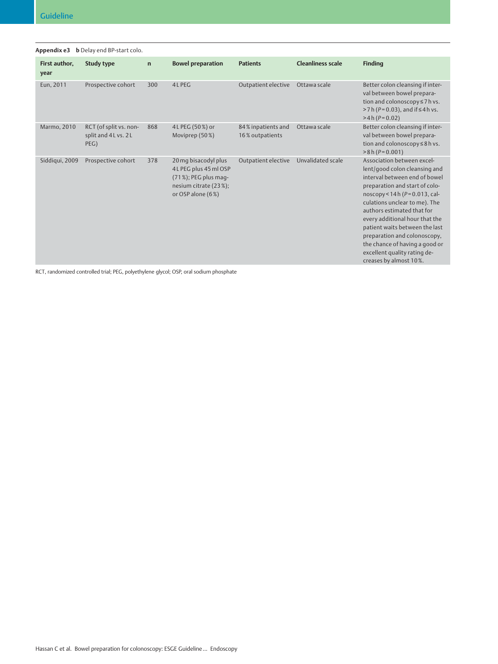|                       | Appendix e3 b Delay end BP-start colo.                |             |                                                                                                                         |                                       |                          |                                                                                                                                                                                                                                                                                                                                                                                                                                      |
|-----------------------|-------------------------------------------------------|-------------|-------------------------------------------------------------------------------------------------------------------------|---------------------------------------|--------------------------|--------------------------------------------------------------------------------------------------------------------------------------------------------------------------------------------------------------------------------------------------------------------------------------------------------------------------------------------------------------------------------------------------------------------------------------|
| First author.<br>year | <b>Study type</b>                                     | $\mathbf n$ | <b>Bowel preparation</b>                                                                                                | <b>Patients</b>                       | <b>Cleanliness scale</b> | <b>Finding</b>                                                                                                                                                                                                                                                                                                                                                                                                                       |
| Eun, 2011             | Prospective cohort                                    | 300         | 4LPEG                                                                                                                   | Outpatient elective                   | Ottawa scale             | Better colon cleansing if inter-<br>val between bowel prepara-<br>tion and colonoscopy≤7 h vs.<br>$>$ 7 h (P = 0.03), and if $\leq$ 4 h vs.<br>$>4 h (P = 0.02)$                                                                                                                                                                                                                                                                     |
| Marmo, 2010           | RCT (of split vs. non-<br>split and 4L vs. 2L<br>PEG) | 868         | 4 L PEG (50%) or<br>Moviprep (50%)                                                                                      | 84% inpatients and<br>16% outpatients | Ottawa scale             | Better colon cleansing if inter-<br>val between bowel prepara-<br>tion and colonoscopy ≤ 8 h vs.<br>$> 8 h (P = 0.001)$                                                                                                                                                                                                                                                                                                              |
| Siddiqui, 2009        | Prospective cohort                                    | 378         | 20 mg bisacodyl plus<br>4 L PEG plus 45 ml OSP<br>$(71%)$ ; PEG plus mag-<br>nesium citrate (23%);<br>or OSP alone (6%) | Outpatient elective                   | Unvalidated scale        | Association between excel-<br>lent/good colon cleansing and<br>interval between end of bowel<br>preparation and start of colo-<br>noscopy < 14 h ( $P = 0.013$ , cal-<br>culations unclear to me). The<br>authors estimated that for<br>every additional hour that the<br>patient waits between the last<br>preparation and colonoscopy,<br>the chance of having a good or<br>excellent quality rating de-<br>creases by almost 10%. |

RCT, randomized controlled trial; PEG, polyethylene glycol; OSP, oral sodium phosphate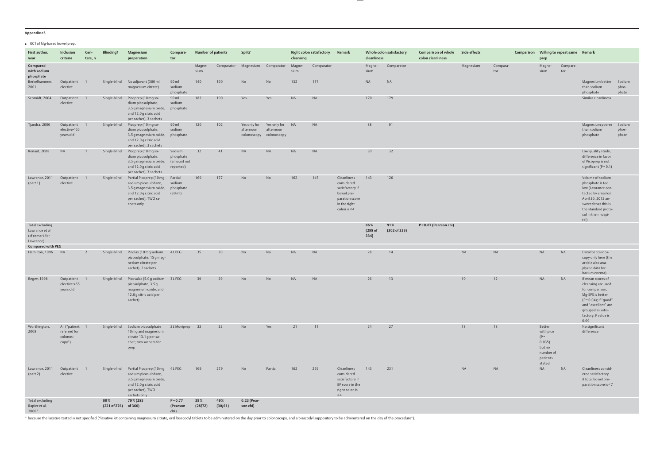# Appendix e3

#### c RCT of Mg-based bowel prep.

| c RCT of MQ-based bower prep                                     |                                                       |                 |                     |                                                                                                                                                 |                                                 |                           |                |                                          |                                             |                |                                 |                                                                                                                |                        |                          |                                                 |              |                 |                                                                                      |                               |                                                                                                                                                                                     |                |
|------------------------------------------------------------------|-------------------------------------------------------|-----------------|---------------------|-------------------------------------------------------------------------------------------------------------------------------------------------|-------------------------------------------------|---------------------------|----------------|------------------------------------------|---------------------------------------------|----------------|---------------------------------|----------------------------------------------------------------------------------------------------------------|------------------------|--------------------------|-------------------------------------------------|--------------|-----------------|--------------------------------------------------------------------------------------|-------------------------------|-------------------------------------------------------------------------------------------------------------------------------------------------------------------------------------|----------------|
| First author,<br>year                                            | Inclusion<br>criteria                                 | Cen-<br>ters, n | <b>Blinding?</b>    | <b>Magnesium</b><br>preparation                                                                                                                 | Compara-<br>tor                                 | <b>Number of patients</b> |                | Split?                                   |                                             | cleansing      | <b>Right colon satisfactory</b> | Remark                                                                                                         | cleanliness            | Whole colon satisfactory | <b>Comparison of whole</b><br>colon cleanliness | Side effects | Comparison      | prep                                                                                 | Willing to repeat same Remark |                                                                                                                                                                                     |                |
| Compared<br>with sodium<br>phosphate                             |                                                       |                 |                     |                                                                                                                                                 |                                                 | Magne-<br>sium            | Comparator     | Magnesium                                | Comparator                                  | Magne-<br>sium | Comparator                      |                                                                                                                | Magne-<br>sium         | Comparator               |                                                 | Magnesium    | Compara-<br>tor | Magne-<br>sium                                                                       | Compara-<br>tor               |                                                                                                                                                                                     |                |
| Berkelhammer,<br>2001                                            | Outpatient<br>elective                                | $\overline{1}$  | Single-blind        | No adjuvant (300 ml<br>magnesium citrate)                                                                                                       | $90$ ml<br>sodium<br>phosphate                  | 140                       | 160            | No                                       | No                                          | 132            | 117                             |                                                                                                                | <b>NA</b>              | <b>NA</b>                |                                                 |              |                 |                                                                                      |                               | Magnesium better Sodium<br>than sodium<br>phosphate                                                                                                                                 | phos-<br>phate |
| Schmidt, 2004                                                    | Outpatient<br>elective                                |                 | Single-blind        | Picoprep (10 mg so-<br>dium picosulphate,<br>3.5 g magnesium oxide,<br>and 12.0 g citric acid<br>per sachet), 3 sachets                         | $90$ ml<br>sodium<br>phosphate                  | 182                       | 190            | Yes                                      | Yes                                         | <b>NA</b>      | <b>NA</b>                       |                                                                                                                | 170                    | 179                      |                                                 |              |                 |                                                                                      |                               | Similar cleanliness                                                                                                                                                                 |                |
| Tjandra, 2006                                                    | Outpatient<br>elective<65<br>years old                |                 | Single-blind        | Picoprep (10 mg so-<br>dium picosulphate,<br>3.5 g magnesium oxide,<br>and 12.0 g citric acid<br>per sachet), 3 sachets                         | $90$ ml<br>sodium<br>phosphate                  | 120                       | 102            | Yes only for<br>afternoon<br>colonoscopy | Yes only for NA<br>afternoon<br>colonoscopy |                | <b>NA</b>                       |                                                                                                                | 88                     | 91                       |                                                 |              |                 |                                                                                      |                               | Magnesium poorer Sodium<br>than sodium<br>phosphate                                                                                                                                 | phos-<br>phate |
| Renaut, 2008                                                     | <b>NA</b>                                             | $\mathbf{1}$    | Single-blind        | Picoprep (10 mg so-<br>dium picosulphate,<br>3.5 g magnesium oxide,<br>and 12.0 g citric acid<br>per sachet), 3 sachets                         | Sodium<br>phosphate<br>(amount not<br>reported) | 32                        | 41             | <b>NA</b>                                | <b>NA</b>                                   | <b>NA</b>      | <b>NA</b>                       |                                                                                                                | 30 <sup>°</sup>        | 32                       |                                                 |              |                 |                                                                                      |                               | Low quality study,<br>difference in favor<br>of Picoprep is not<br>significant $(P=0.1)$                                                                                            |                |
| Lawrance, 2011<br>(part 1)                                       | Outpatient<br>elective                                | $\overline{1}$  | Single-blind        | Partial Picoprep (10 mg<br>sodium picosulphate,<br>3.5 g magnesium oxide,<br>and 12.0 g citric acid<br>per sachet), TWO sa-<br>chets only       | Partial<br>sodium<br>phosphate<br>(30 ml)       | 169                       | 177            | No                                       | No                                          | 162            | 145                             | Cleanliness<br>considered<br>satisfactory if<br>bowel pre-<br>paration score<br>in the right<br>colon is $<$ 4 | 143                    | 120                      |                                                 |              |                 |                                                                                      |                               | Volume of sodium<br>phosphate is too<br>low (Lawrance con-<br>tacted by email on<br>April 30, 2012 an-<br>swered that this is<br>the standard proto-<br>col in their hospi-<br>tal) |                |
| Total excluding<br>Lawrance et al<br>(cf remark for<br>Lawrance) |                                                       |                 |                     |                                                                                                                                                 |                                                 |                           |                |                                          |                                             |                |                                 |                                                                                                                | 86%<br>(288 of<br>334) | 91%<br>(302 of 333)      | P=0.07 (Pearson chi)                            |              |                 |                                                                                      |                               |                                                                                                                                                                                     |                |
| <b>Compared with PEG</b>                                         |                                                       |                 |                     |                                                                                                                                                 |                                                 |                           |                |                                          |                                             |                |                                 |                                                                                                                |                        |                          |                                                 |              |                 |                                                                                      |                               |                                                                                                                                                                                     |                |
| Hamilton, 1996                                                   | <b>NA</b>                                             | $\overline{2}$  | Single-blind        | Picolax (10 mg sodium<br>picosulphate, 15 g mag-<br>nesium citrate per<br>sachet), 2 sachets                                                    | 4L PEG                                          | 35                        | 20             | No                                       | No                                          | <b>NA</b>      | <b>NA</b>                       |                                                                                                                | 28                     | 14                       |                                                 | <b>NA</b>    | <b>NA</b>       | <b>NA</b>                                                                            | <b>NA</b>                     | Data for colonos-<br>copy only here (the<br>article also ana-<br>plyzed data for<br>barium enema)                                                                                   |                |
| Regev, 1998                                                      | Outpatient<br>elective<65<br>years old                |                 | Single-blind        | Picosalax (5.0 g sodium<br>picosulphate, 3.5 g<br>magnesium oxide, and<br>12.0 g citric acid per<br>sachet)                                     | 3 L PEG                                         | 39                        | 29             | $\rm No$                                 | No                                          | <b>NA</b>      | <b>NA</b>                       |                                                                                                                | 26                     | 13                       |                                                 | 10           | 12              | <b>NA</b>                                                                            | <b>NA</b>                     | If mean scores of<br>cleansing are used<br>for comparison,<br>Mg-SPS is better<br>$(P=0.04)$ ; if "good"<br>and "excellent" are<br>grouped as satis-<br>factory, P value is<br>0.09 |                |
| Worthington,<br>2008                                             | All ("patient 1<br>referred for<br>colonos-<br>copy") |                 | Single-blind        | Sodium picosulphate<br>10 mg and magnesium<br>citrate 13.1 g per sa-<br>chet; two sachets for<br>prep                                           | 2L Moviprep 33                                  |                           | 32             | No                                       | Yes                                         | 21             | 11                              |                                                                                                                | 24                     | 27                       |                                                 | 18           | 18              | Better<br>with pico<br>$(P =$<br>0.035)<br>but no<br>number of<br>patients<br>stated |                               | No significant<br>difference                                                                                                                                                        |                |
| Lawrance, 2011<br>$(\text{part } 2)$                             | Outpatient<br>elective                                | $\overline{1}$  | Single-blind        | Partial Picoprep (10 mg 4 L PEG<br>sodium picosulphate,<br>3.5 g magnesium oxide,<br>and 12.0 g citric acid<br>per sachet), TWO<br>sachets only |                                                 | 169                       | 279            | No                                       | Partial                                     | 162            | 259                             | Cleanliness<br>considered<br>satisfactory if<br>BP score in the<br>right colon is<br>< 4                       | 143                    | 231                      |                                                 | <b>NA</b>    | <b>NA</b>       | <b>NA</b>                                                                            | <b>NA</b>                     | Cleanliness consid-<br>ered satisfactory<br>if total bowel pre-<br>paration score is <7                                                                                             |                |
| Total excluding<br>Rapier et al.<br>2006*                        |                                                       |                 | 80%<br>(221 of 276) | 79% (285<br>of 360)                                                                                                                             | $P = 0.77$<br>(Pearson<br>chi)                  | 39%<br>(28/72)            | 49%<br>(30/61) | 0.23 (Pear-<br>son chi)                  |                                             |                |                                 |                                                                                                                |                        |                          |                                                 |              |                 |                                                                                      |                               |                                                                                                                                                                                     |                |

\* because the laxative tested is not specified ("laxative kit containing magnesium citrate, oral bisacodyl tablets to be administered on the day prior to colonoscopy, and a bisacodyl suppository to be administered on the d